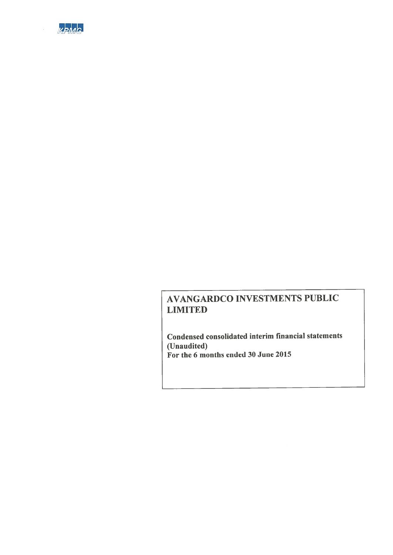

Condensed consolidated interim financial statements (Unaudited) For the 6 months ended 30 June 2015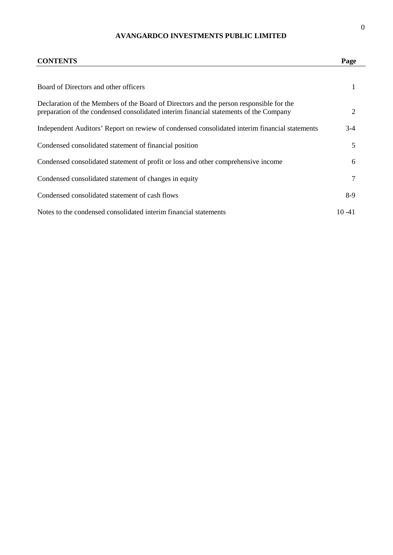| <b>CONTENTS</b>                                                                                                                                                                  | Page      |
|----------------------------------------------------------------------------------------------------------------------------------------------------------------------------------|-----------|
| Board of Directors and other officers                                                                                                                                            | 1         |
| Declaration of the Members of the Board of Directors and the person responsible for the<br>preparation of the condensed consolidated interim financial statements of the Company | 2         |
| Independent Auditors' Report on rewiew of condensed consolidated interim financial statements                                                                                    | $3-4$     |
| Condensed consolidated statement of financial position                                                                                                                           | 5         |
| Condensed consolidated statement of profit or loss and other comprehensive income                                                                                                | 6         |
| Condensed consolidated statement of changes in equity                                                                                                                            | 7         |
| Condensed consolidated statement of cash flows                                                                                                                                   | $8-9$     |
| Notes to the condensed consolidated interim financial statements                                                                                                                 | $10 - 41$ |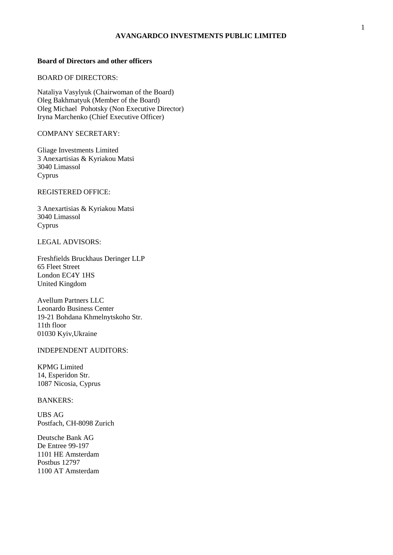#### **Board of Directors and other officers**

#### BOARD OF DIRECTORS:

Nataliya Vasylyuk (Chairwoman of the Board) Oleg Bakhmatyuk (Member of the Board) Oleg Michael Pohotsky (Non Executive Director) Iryna Marchenko (Chief Executive Officer)

#### COMPANY SECRETARY:

Gliage Investments Limited 3 Anexartisias & Kyriakou Matsi 3040 Limassol Cyprus

REGISTERED OFFICE:

3 Anexartisias & Kyriakou Matsi 3040 Limassol Cyprus

#### LEGAL ADVISORS:

Freshfields Bruckhaus Deringer LLP 65 Fleet Street London EC4Y 1HS United Kingdom

Avellum Partners LLC Leonardo Business Center 19-21 Bohdana Khmelnytskoho Str. 11th floor 01030 Kyiv,Ukraine

#### INDEPENDENT AUDITORS:

KPMG Limited 14, Esperidon Str. 1087 Nicosia, Cyprus

#### BANKERS:

UBS AG Postfach, CH-8098 Zurich

Deutsche Bank AG De Entree 99-197 1101 HE Amsterdam Postbus 12797 1100 AT Amsterdam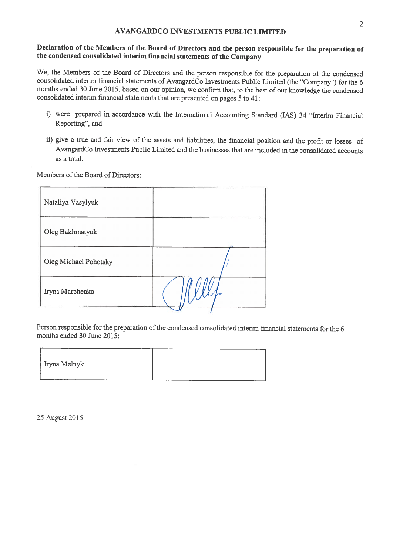### Declaration of the Members of the Board of Directors and the person responsible for the preparation of the condensed consolidated interim financial statements of the Company

We, the Members of the Board of Directors and the person responsible for the preparation of the condensed consolidated interim financial statements of AvangardCo Investments Public Limited (the "Company") for the 6 months ended 30 June 2015, based on our opinion, we confirm that, to the best of our knowledge the condensed consolidated interim financial statements that are presented on pages 5 to 41:

- i) were prepared in accordance with the International Accounting Standard (IAS) 34 "Interim Financial Reporting", and
- ii) give a true and fair view of the assets and liabilities, the financial position and the profit or losses of AvangardCo Investments Public Limited and the businesses that are included in the consolidated accounts as a total.

Members of the Board of Directors:

| Nataliya Vasylyuk     |  |
|-----------------------|--|
| Oleg Bakhmatyuk       |  |
| Oleg Michael Pohotsky |  |
| Iryna Marchenko       |  |

Person responsible for the preparation of the condensed consolidated interim financial statements for the 6 months ended 30 June 2015:

25 August 2015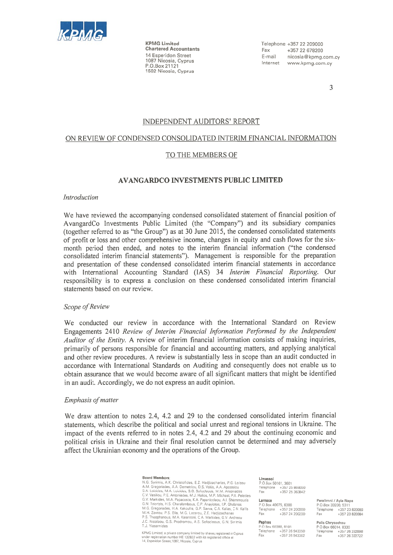

**KPMG Limited Chartered Accountants** 14 Esperidon Street 1087 Nicosia, Cyprus P.O.Box 21121 1502 Nicosia, Cyprus

Telephone +357 22 209000 Fax +357 22 678200 E-mail nicosia@kpmg.com.cy Internet www.kpmg.com.cy

 $\overline{\mathcal{E}}$ 

#### INDEPENDENT AUDITORS' REPORT

#### ON REVIEW OF CONDENSED CONSOLIDATED INTERIM FINANCIAL INFORMATION

#### TO THE MEMBERS OF

#### **AVANGARDCO INVESTMENTS PUBLIC LIMITED**

#### Introduction

We have reviewed the accompanying condensed consolidated statement of financial position of AvangardCo Investments Public Limited (the "Company") and its subsidiary companies (together referred to as "the Group") as at 30 June 2015, the condensed consolidated statements of profit or loss and other comprehensive income, changes in equity and cash flows for the sixmonth period then ended, and notes to the interim financial information ("the condensed consolidated interim financial statements"). Management is responsible for the preparation and presentation of these condensed consolidated interim financial statements in accordance with International Accounting Standard (IAS) 34 Interim Financial Reporting. Our responsibility is to express a conclusion on these condensed consolidated interim financial statements based on our review.

#### Scope of Review

We conducted our review in accordance with the International Standard on Review Engagements 2410 Review of Interim Financial Information Performed by the Independent Auditor of the Entity. A review of interim financial information consists of making inquiries, primarily of persons responsible for financial and accounting matters, and applying analytical and other review procedures. A review is substantially less in scope than an audit conducted in accordance with International Standards on Auditing and consequently does not enable us to obtain assurance that we would become aware of all significant matters that might be identified in an audit. Accordingly, we do not express an audit opinion.

#### Emphasis of matter

We draw attention to notes 2.4, 4.2 and 29 to the condensed consolidated interim financial statements, which describe the political and social unrest and regional tensions in Ukraine. The impact of the events referred to in notes 2.4, 4.2 and 29 about the continuing economic and political crisis in Ukraine and their final resolution cannot be determined and may adversely affect the Ukrainian economy and the operations of the Group.

#### **Board Members:**

N G Syrimis A K Christofides F 7 Hadiizacharias P G Lolzou N.M. Gregoriades, A.A. Demetricu, D.S. Vakis, A.A. Apostolou<br>S.A. Gregoriades, A.A. Demetricu, D.S. Vakis, A.A. Apostolou<br>S.A. Loizides, M.A. Loizides, S.G. Sofocleous, M.M. Antoniades S.A. Lonzides, M.A. Lonzides, S.G. Sofocleous, M.M. Antoniades<br>C.V. Vasiliou, P.E. Antoniades, M.J. Halies, M.P. Michael, P.A. Peleties<br>G.V. Markides, M.A. Papacosta, K.A. Papanicolaou, A.I. Shiammoutis<br>G.V. Trioritis, H.S P.S. Theophanous, M.A. Karantoni, C.A. Markides, G.V. Andreou J.C. Nicolaou, G.S. Prodromou, A.S. Sofocleous, G.N. Syrimis T.J. Yiasemides

KPMG Limited, a private company limited by shares, registered in Cyprus<br>under registration number HE 132822 with its registered office at 14. Esperidon Street 1087, Nicosia, Cyprus

#### Limassol

**Linessur**<br>Р.О.Вох 50161, 3601 Telephone +357 25 869000 +357 25 363842

#### Larnaca

P O.Box 40075, 6300<br>Telephone +357 24 200000 Fax +357 24 200200

#### Paralimni / Avia Nana P O Box 33200, 5311 Telephone +357 23 820080 Fax +357 23 820084

#### Paphos

P.O.Box 60288, 8101<br>Telephone +357 26 943050 +357 26 943062 Fax

Polis Chrysochou P.O.Box 66014, 8330 Telephone +357 26 322098

Fax

+357 26 322722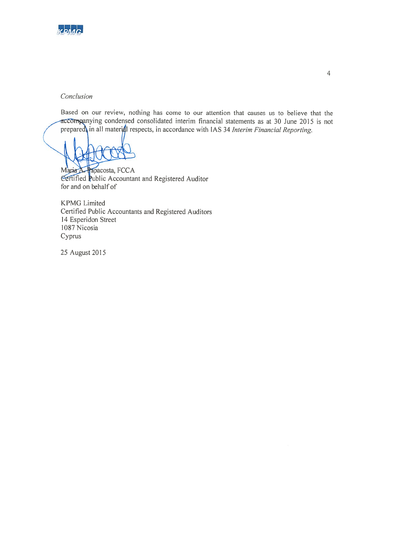

#### Conclusion

Based on our review, nothing has come to our attention that causes us to believe that the accompanying condensed consolidated interim financial statements as at 30 June 2015 is not prepared in all material respects, in accordance with IAS 34 Interim Financial Reporting.

Papacosta, FCCA Maria A. Certified Public Accountant and Registered Auditor for and on behalf of

**KPMG** Limited Certified Public Accountants and Registered Auditors 14 Esperidon Street 1087 Nicosia Cyprus

25 August 2015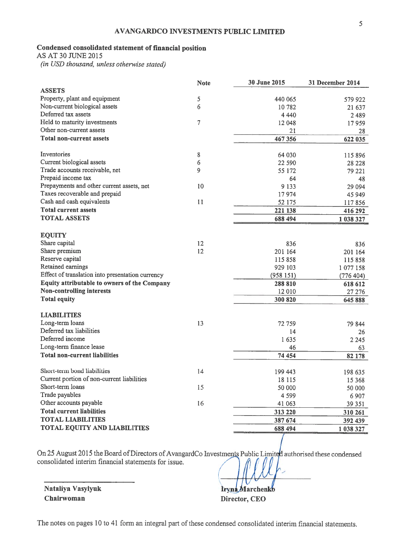### Condensed consolidated statement of financial position

AS AT 30 JUNE 2015

(in USD thousand, unless otherwise stated)

|                                                  | <b>Note</b>    | 30 June 2015 | 31 December 2014 |
|--------------------------------------------------|----------------|--------------|------------------|
| <b>ASSETS</b>                                    |                |              |                  |
| Property, plant and equipment                    | 5              | 440 065      | 579 922          |
| Non-current biological assets                    | 6              | 10 782       | 21 637           |
| Deferred tax assets                              |                | 4 4 4 0      | 2489             |
| Held to maturity investments                     | $\overline{7}$ | 12 048       | 17959            |
| Other non-current assets                         |                | 21           | 28               |
| <b>Total non-current assets</b>                  |                | 467356       | 622 035          |
| Inventories                                      | 8              | 64 030       | 115 896          |
| Current biological assets                        | 6              | 22 590       | 28 2 28          |
| Trade accounts receivable, net                   | 9              | 55 172       | 79 221           |
| Prepaid income tax                               |                | 64           | 48               |
| Prepayments and other current assets, net        | 10             | 9 1 3 3      | 29 0 94          |
| Taxes recoverable and prepaid                    |                | 17974        | 45 949           |
| Cash and cash equivalents                        | 11             | 52 175       | 117856           |
| <b>Total current assets</b>                      |                | 221 138      | 416 292          |
| <b>TOTAL ASSETS</b>                              |                | 688 494      | 1 038 327        |
|                                                  |                |              |                  |
| <b>EQUITY</b>                                    |                |              |                  |
| Share capital                                    | 12             | 836          | 836              |
| Share premium                                    | 12             | 201 164      | 201 164          |
| Reserve capital                                  |                | 115 858      | 115858           |
| Retained earnings                                |                | 929 103      | 1077158          |
| Effect of translation into presentation currency |                | (958151)     | (776 404)        |
| Equity attributable to owners of the Company     |                | 288 810      | 618 612          |
| <b>Non-controlling interests</b>                 |                | 12 010       | 27 27 6          |
| <b>Total equity</b>                              |                | 300 820      | 645 888          |
| <b>LIABILITIES</b>                               |                |              |                  |
| Long-term loans                                  | 13             | 72 759       | 79 844           |
| Deferred tax liabilities                         |                | 14           | 26               |
| Deferred income                                  |                | 1635         | 2 2 4 5          |
| Long-term finance lease                          |                | 46           | 63               |
| <b>Total non-current liabilities</b>             |                | 74 454       | 82 178           |
| Short-term bond liabilities                      | 14             | 199 443      | 198 635          |
| Current portion of non-current liabilities       |                | 18 115       | 15 3 68          |
| Short-term loans                                 | 15             | 50 000       | 50 000           |
| Trade payables                                   |                | 4 5 9 9      | 6 9 0 7          |
| Other accounts payable                           | 16             | 41 0 63      | 39 351           |
| <b>Total current liabilities</b>                 |                | 313 220      | 310 261          |
| <b>TOTAL LIABILITIES</b>                         |                | 387 674      | 392 439          |
| TOTAL EQUITY AND LIABILITIES                     |                | 688 494      | 1 038 327        |
|                                                  |                |              |                  |

On 25 August 2015 the Board of Directors of AvangardCo Investments Public Limited authorised these condensed consolidated interim financial statements for issue.

Nataliya Vasylyuk Chairwoman

**Tryna Marchenko** Director, CEO

The notes on pages 10 to 41 form an integral part of these condensed consolidated interim financial statements.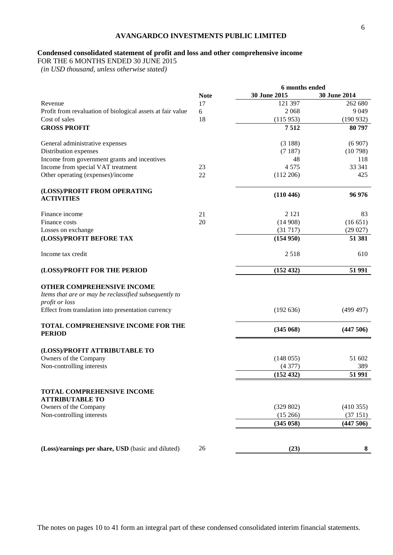#### **Condensed consolidated statement of profit and loss and other comprehensive income**

FOR THE 6 MONTHS ENDED 30 JUNE 2015

 *(in USD thousand, unless otherwise stated)*

|                                                                                                       |             | 6 months ended |              |
|-------------------------------------------------------------------------------------------------------|-------------|----------------|--------------|
|                                                                                                       | <b>Note</b> | 30 June 2015   | 30 June 2014 |
| Revenue                                                                                               | 17          | 121 397        | 262 680      |
| Profit from revaluation of biological assets at fair value                                            | 6           | 2068           | 9 0 4 9      |
| Cost of sales                                                                                         | 18          | (115953)       | (190932)     |
| <b>GROSS PROFIT</b>                                                                                   |             | 7512           | 80797        |
| General administrative expenses                                                                       |             | (3188)         | (6907)       |
| Distribution expenses                                                                                 |             | (7187)         | (10798)      |
| Income from government grants and incentives                                                          |             | 48             | 118          |
| Income from special VAT treatment                                                                     | 23          | 4575           | 33 341       |
| Other operating (expenses)/income                                                                     | 22          | $(112\,206)$   | 425          |
| (LOSS)/PROFIT FROM OPERATING<br><b>ACTIVITIES</b>                                                     |             | (110446)       | 96 976       |
|                                                                                                       |             |                |              |
| Finance income                                                                                        | 21          | 2 1 2 1        | 83           |
| Finance costs                                                                                         | 20          | (14908)        | (16651)      |
| Losses on exchange                                                                                    |             | (31717)        | (29027)      |
| (LOSS)/PROFIT BEFORE TAX                                                                              |             | (154950)       | 51 381       |
| Income tax credit                                                                                     |             | 2518           | 610          |
| (LOSS)/PROFIT FOR THE PERIOD                                                                          |             | (152 432)      | 51 991       |
| OTHER COMPREHENSIVE INCOME<br>Items that are or may be reclassified subsequently to<br>profit or loss |             |                |              |
| Effect from translation into presentation currency                                                    |             | (192 636)      | (499 497)    |
| TOTAL COMPREHENSIVE INCOME FOR THE<br><b>PERIOD</b>                                                   |             | (345068)       | (447506)     |
| (LOSS)/PROFIT ATTRIBUTABLE TO                                                                         |             |                |              |
| Owners of the Company                                                                                 |             | (148055)       | 51 602       |
| Non-controlling interests                                                                             |             | (4377)         | 389          |
|                                                                                                       |             | (152 432)      | 51 991       |
| <b>TOTAL COMPREHENSIVE INCOME</b><br><b>ATTRIBUTABLE TO</b>                                           |             |                |              |
| Owners of the Company                                                                                 |             | (329 802)      | (410355)     |
| Non-controlling interests                                                                             |             | (15266)        | (37151)      |
|                                                                                                       |             | (345058)       | (447506)     |
|                                                                                                       |             |                |              |
| (Loss)/earnings per share, USD (basic and diluted)                                                    | 26          | (23)           | 8            |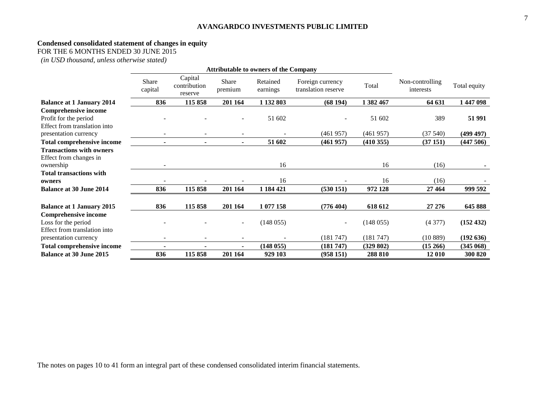#### **Condensed consolidated statement of changes in equity**

FOR THE 6 MONTHS ENDED 30 JUNE 2015

*(in USD thousand, unless otherwise stated)*

|                                  | <b>Attributable to owners of the Company</b> |                                    |                  |                      |                                         |           |                              |              |
|----------------------------------|----------------------------------------------|------------------------------------|------------------|----------------------|-----------------------------------------|-----------|------------------------------|--------------|
|                                  | Share<br>capital                             | Capital<br>contribution<br>reserve | Share<br>premium | Retained<br>earnings | Foreign currency<br>translation reserve | Total     | Non-controlling<br>interests | Total equity |
| <b>Balance at 1 January 2014</b> | 836                                          | 115 858                            | 201 164          | 1 132 803            | (68194)                                 | 1 382 467 | 64 631                       | 1 447 098    |
| <b>Comprehensive income</b>      |                                              |                                    |                  |                      |                                         |           |                              |              |
| Profit for the period            |                                              |                                    |                  | 51 602               |                                         | 51 602    | 389                          | 51 991       |
| Effect from translation into     |                                              |                                    |                  |                      |                                         |           |                              |              |
| presentation currency            |                                              |                                    |                  |                      | (461957)                                | (461957)  | (37540)                      | (499 497)    |
| Total comprehensive income       |                                              |                                    |                  | 51 602               | (461957)                                | (410355)  | (37151)                      | (447506)     |
| <b>Transactions with owners</b>  |                                              |                                    |                  |                      |                                         |           |                              |              |
| Effect from changes in           |                                              |                                    |                  |                      |                                         |           |                              |              |
| ownership                        |                                              |                                    |                  | 16                   |                                         | 16        | (16)                         |              |
| <b>Total transactions with</b>   |                                              |                                    |                  |                      |                                         |           |                              |              |
| owners                           |                                              |                                    |                  | 16                   |                                         | 16        | (16)                         |              |
| <b>Balance at 30 June 2014</b>   | 836                                          | 115 858                            | 201 164          | 1 184 421            | (530151)                                | 972 128   | 27 4 64                      | 999 592      |
| <b>Balance at 1 January 2015</b> | 836                                          | 115 858                            | 201 164          | 1 077 158            | (776 404)                               | 618 612   | 27 27 6                      | 645 888      |
| <b>Comprehensive income</b>      |                                              |                                    |                  |                      |                                         |           |                              |              |
| Loss for the period              |                                              |                                    |                  | (148055)             |                                         | (148055)  | (4377)                       | (152 432)    |
| Effect from translation into     |                                              |                                    |                  |                      |                                         |           |                              |              |
| presentation currency            |                                              |                                    |                  |                      | (181747)                                | (181747)  | (10889)                      | (192636)     |
| Total comprehensive income       |                                              |                                    |                  | (148055)             | (181747)                                | (329802)  | (15266)                      | (345068)     |
| <b>Balance at 30 June 2015</b>   | 836                                          | 115 858                            | 201 164          | 929 103              | (958151)                                | 288 810   | 12 010                       | 300 820      |

7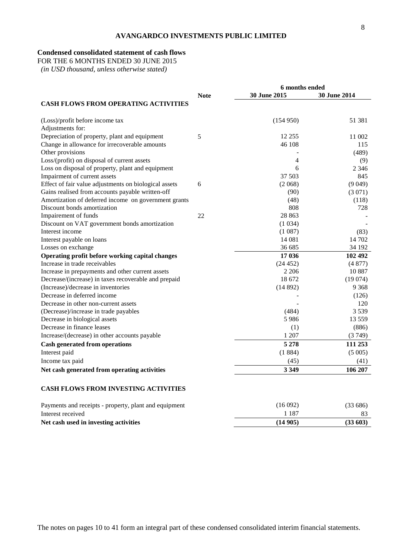#### **Condensed consolidated statement of cash flows**

FOR THE 6 MONTHS ENDED 30 JUNE 2015

 *(in USD thousand, unless otherwise stated)*

|                                                       | 6 months ended |              |              |
|-------------------------------------------------------|----------------|--------------|--------------|
|                                                       | <b>Note</b>    | 30 June 2015 | 30 June 2014 |
| <b>CASH FLOWS FROM OPERATING ACTIVITIES</b>           |                |              |              |
| (Loss)/profit before income tax                       |                | (154950)     | 51 381       |
| Adjustments for:                                      |                |              |              |
| Depreciation of property, plant and equipment         | 5              | 12 255       | 11 002       |
| Change in allowance for irrecoverable amounts         |                | 46 108       | 115          |
| Other provisions                                      |                |              | (489)        |
| Loss/(profit) on disposal of current assets           |                | 4            | (9)          |
| Loss on disposal of property, plant and equipment     |                | 6            | 2 3 4 6      |
| Impairment of current assets                          |                | 37 503       | 845          |
| Effect of fair value adjustments on biological assets | 6              | (2.068)      | (9049)       |
| Gains realised from accounts payable written-off      |                | (90)         | (3071)       |
| Amortization of deferred income on government grants  |                | (48)         | (118)        |
| Discount bonds amortization                           |                | 808          | 728          |
| Impairement of funds                                  | 22             | 28 863       |              |
| Discount on VAT government bonds amortization         |                | (1034)       |              |
| Interest income                                       |                | (1087)       | (83)         |
| Interest payable on loans                             |                | 14 081       | 14 702       |
| Losses on exchange                                    |                | 36 685       | 34 192       |
| Operating profit before working capital changes       |                | 17 036       | 102 492      |
| Increase in trade receivables                         |                | (24452)      | (4877)       |
| Increase in prepayments and other current assets      |                | 2 2 0 6      | 10887        |
| Decrease/(increase) in taxes recoverable and prepaid  |                | 18 672       | (19074)      |
| (Increase)/decrease in inventories                    |                | (14892)      | 9 3 6 8      |
| Decrease in deferred income                           |                |              | (126)        |
| Decrease in other non-current assets                  |                |              | 120          |
| (Decrease)/increase in trade payables                 |                | (484)        | 3539         |
| Decrease in biological assets                         |                | 5986         | 13 5 5 9     |
| Decrease in finance leases                            |                | (1)          | (886)        |
| Increase/(decrease) in other accounts payable         |                | 1 207        | (3749)       |
| <b>Cash generated from operations</b>                 |                | 5 2 7 8      | 111 253      |
| Interest paid                                         |                | (1884)       | (5005)       |
| Income tax paid                                       |                | (45)         | (41)         |
| Net cash generated from operating activities          |                | 3 3 4 9      | 106 207      |
| <b>CASH FLOWS FROM INVESTING ACTIVITIES</b>           |                |              |              |

| Payments and receipts - property, plant and equipment | (16 092) | (33686) |
|-------------------------------------------------------|----------|---------|

| Net cash used in investing activities                 | (14905) | (33603)          |
|-------------------------------------------------------|---------|------------------|
| Interest received                                     | -187    |                  |
| 1 a mento ano recepto - property, prant ano equipment |         | 100 000 <i>1</i> |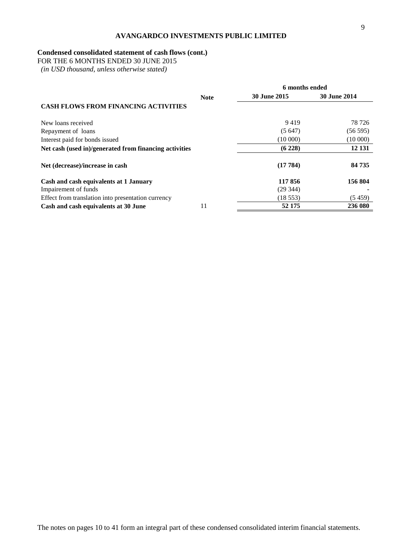#### **Condensed consolidated statement of cash flows (cont.)**

FOR THE 6 MONTHS ENDED 30 JUNE 2015

 *(in USD thousand, unless otherwise stated)*

|                                                        |             |                     | 6 months ended      |  |  |
|--------------------------------------------------------|-------------|---------------------|---------------------|--|--|
|                                                        | <b>Note</b> | <b>30 June 2015</b> | <b>30 June 2014</b> |  |  |
| <b>CASH FLOWS FROM FINANCING ACTIVITIES</b>            |             |                     |                     |  |  |
| New loans received                                     |             | 9419                | 78 7 26             |  |  |
| Repayment of loans                                     |             | (5647)              | (56595)             |  |  |
| Interest paid for bonds issued                         |             | (10000)             | (10000)             |  |  |
| Net cash (used in)/generated from financing activities |             | (6228)              | 12 13 1             |  |  |
| Net (decrease)/increase in cash                        |             | (17784)             | 84 735              |  |  |
| Cash and cash equivalents at 1 January                 |             | 117856              | 156 804             |  |  |
| Impairement of funds                                   |             | (29344)             |                     |  |  |
| Effect from translation into presentation currency     |             | (18553)             | (5459)              |  |  |
| Cash and cash equivalents at 30 June                   | 11          | 52 175              | 236 080             |  |  |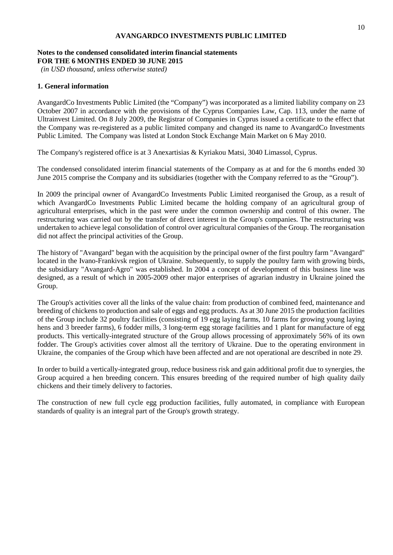#### **Notes to the condensed consolidated interim financial statements FOR THE 6 MONTHS ENDED 30 JUNE 2015**

*(in USD thousand, unless otherwise stated)*

#### **1. General information**

AvangardCo Investments Public Limited (the "Company") was incorporated as a limited liability company on 23 October 2007 in accordance with the provisions of the Cyprus Companies Law, Cap. 113, under the name of Ultrainvest Limited. On 8 July 2009, the Registrar of Companies in Cyprus issued a certificate to the effect that the Company was re-registered as a public limited company and changed its name to AvangardCo Investments Public Limited. The Company was listed at London Stock Exchange Main Market on 6 May 2010.

The Company's registered office is at 3 Anexartisias & Kyriakou Matsi, 3040 Limassol, Cyprus.

The condensed consolidated interim financial statements of the Company as at and for the 6 months ended 30 June 2015 comprise the Company and its subsidiaries (together with the Company referred to as the "Group").

In 2009 the principal owner of AvangardCo Investments Public Limited reorganised the Group, as a result of which AvangardCo Investments Public Limited became the holding company of an agricultural group of agricultural enterprises, which in the past were under the common ownership and control of this owner. The restructuring was carried out by the transfer of direct interest in the Group's companies. The restructuring was undertaken to achieve legal consolidation of control over agricultural companies of the Group. The reorganisation did not affect the principal activities of the Group.

The history of "Avangard" began with the acquisition by the principal owner of the first poultry farm "Avangard" located in the Ivano-Frankivsk region of Ukraine. Subsequently, to supply the poultry farm with growing birds, the subsidiary "Avangard-Agro" was established. In 2004 a concept of development of this business line was designed, as a result of which in 2005-2009 other major enterprises of agrarian industry in Ukraine joined the Group.

The Group's activities cover all the links of the value chain: from production of combined feed, maintenance and breeding of chickens to production and sale of eggs and egg products. As at 30 June 2015 the production facilities of the Group include 32 poultry facilities (consisting of 19 egg laying farms, 10 farms for growing young laying hens and 3 breeder farms), 6 fodder mills, 3 long-term egg storage facilities and 1 plant for manufacture of egg products. This vertically-integrated structure of the Group allows processing of approximately 56% of its own fodder. The Group's activities cover almost all the territory of Ukraine. Due to the operating environment in Ukraine, the companies of the Group which have been affected and are not operational are described in note 29.

In order to build a vertically-integrated group, reduce business risk and gain additional profit due to synergies, the Group acquired a hen breeding concern. This ensures breeding of the required number of high quality daily chickens and their timely delivery to factories.

The construction of new full cycle egg production facilities, fully automated, in compliance with European standards of quality is an integral part of the Group's growth strategy.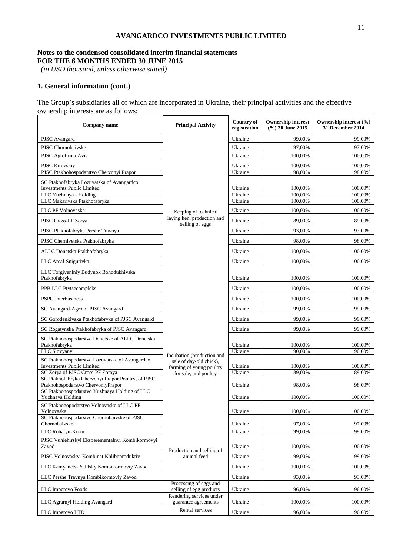#### **Notes to the condensed consolidated interim financial statements FOR THE 6 MONTHS ENDED 30 JUNE 2015**

*(in USD thousand, unless otherwise stated)*

#### **1. General information (cont.)**

The Group's subsidiaries all of which are incorporated in Ukraine, their principal activities and the effective ownership interests are as follows:

| Company name                                                                           | <b>Principal Activity</b>                           | Country of<br>registration | <b>Ownership interest</b><br>(%) 30 June 2015 | Ownership interest (%)<br>31 December 2014 |
|----------------------------------------------------------------------------------------|-----------------------------------------------------|----------------------------|-----------------------------------------------|--------------------------------------------|
| PJSC Avangard                                                                          |                                                     | Ukraine                    | 99,00%                                        | 99,00%                                     |
| PJSC Chornobaivske                                                                     |                                                     | Ukraine                    | 97,00%                                        | 97,00%                                     |
| PJSC Agrofirma Avis                                                                    |                                                     | Ukraine                    | 100,00%                                       | 100,00%                                    |
| <b>PJSC Kirovskiy</b>                                                                  |                                                     | Ukraine                    | 100,00%                                       | 100,00%                                    |
| PJSC Ptakhohospodarstvo Chervonyi Prapor                                               |                                                     | Ukraine                    | 98,00%                                        | 98,00%                                     |
| SC Ptakhofabryka Lozuvatska of Avangardco<br><b>Investments Public Limited</b>         |                                                     | Ukraine                    | 100,00%                                       | 100,00%                                    |
| LLC Yuzhnaya - Holding<br>LLC Makarivska Ptakhofabryka                                 |                                                     | Ukraine<br>Ukraine         | 100,00%<br>100,00%                            | 100,00%<br>100,00%                         |
| LLC PF Volnovaska                                                                      |                                                     | Ukraine                    | 100.00%                                       | 100,00%                                    |
|                                                                                        | Keeping of technical<br>laying hen, production and  |                            |                                               |                                            |
| PJSC Cross-PF Zorya                                                                    | selling of eggs                                     | Ukraine                    | 89,00%                                        | 89,00%                                     |
| PJSC Ptakhofabryka Pershe Travnya                                                      |                                                     | Ukraine                    | 93,00%                                        | 93,00%                                     |
| PJSC Chernivetska Ptakhofabryka                                                        |                                                     | Ukraine                    | 98,00%                                        | 98,00%                                     |
| ALLC Donetska Ptakhofabryka                                                            |                                                     | Ukraine                    | 100,00%                                       | 100,00%                                    |
| LLC Areal-Snigurivka                                                                   |                                                     | Ukraine                    | 100,00%                                       | 100,00%                                    |
| LLC Torgivenlniy Budynok Bohodukhivska<br>Ptakhofabryka                                |                                                     | Ukraine                    | 100,00%                                       | 100,00%                                    |
| PPB LLC Ptytsecompleks                                                                 |                                                     | Ukraine                    | 100,00%                                       | 100,00%                                    |
| <b>PSPC</b> Interbusiness                                                              |                                                     | Ukraine                    | 100,00%                                       | 100,00%                                    |
| SC Avangard-Agro of PJSC Avangard                                                      |                                                     | Ukraine                    | 99,00%                                        | 99,00%                                     |
| SC Gorodenkivska Ptakhofabryka of PJSC Avangard                                        |                                                     | Ukraine                    | 99,00%                                        | 99,00%                                     |
| SC Rogatynska Ptakhofabryka of PJSC Avangard                                           |                                                     | Ukraine                    | 99,00%                                        | 99,00%                                     |
| SC Ptakhohospodarstvo Donetske of ALLC Donetska<br>Ptakhofabryka                       |                                                     | Ukraine                    | 100,00%                                       | 100,00%                                    |
| LLC Slovyany                                                                           | Incubation (production and                          | Ukraine                    | 90,00%                                        | 90,00%                                     |
| SC Ptakhohospodarstvo Lozuvatske of Avangardco<br><b>Investments Public Limited</b>    | sale of day-old chick),<br>farming of young poultry | Ukraine                    | 100,00%                                       | 100,00%                                    |
| SC Zorya of PJSC Cross-PF Zoraya<br>SC Ptakhofabryka Chervonyi Prapor Poultry, of PJSC | for sale, and poultry                               | Ukraine                    | 89,00%                                        | 89,00%                                     |
| Ptakhohospodarstvo ChervoniyPrapor<br>SC Ptakhohospodarstvo Yuzhnaya Holding of LLC    |                                                     | Ukraine                    | 98,00%                                        | 98,00%                                     |
| Yuzhnaya Holding                                                                       |                                                     | Ukraine                    | 100,00%                                       | 100,00%                                    |
| SC Ptakhogopodarstvo Volnovaske of LLC PF<br>Volnovaska                                |                                                     | Ukraine                    | 100,00%                                       | 100,00%                                    |
| SC Ptakhohospodarstvo Chornobaivske of PJSC<br>Chornobaivske                           |                                                     | Ukraine                    | 97,00%                                        | 97,00%                                     |
| LLC Rohatyn-Korm                                                                       |                                                     | Ukraine                    | 99,00%                                        | 99,00%                                     |
| PJSC Vuhlehirskyi Eksperementalnyi Kombikormovyi<br>Zavod                              |                                                     | Ukraine                    | 100,00%                                       | 100,00%                                    |
| PJSC Volnovaskyi Kombinat Khliboproduktiv                                              | Production and selling of<br>animal feed            | Ukraine                    | 99,00%                                        | 99,00%                                     |
| LLC Kamyanets-Podilsky Kombikormoviy Zavod                                             |                                                     | Ukraine                    | 100,00%                                       | 100,00%                                    |
| LLC Pershe Travnya Kombikormoviy Zavod                                                 |                                                     | Ukraine                    | 93,00%                                        | 93,00%                                     |
| LLC Imperovo Foods                                                                     | Processing of eggs and<br>selling of egg products   | Ukraine                    | 96,00%                                        | 96,00%                                     |
| LLC Agramyi Holding Avangard                                                           | Rendering services under<br>guarantee agreements    | Ukraine                    | 100,00%                                       | 100,00%                                    |
| LLC Imperovo LTD                                                                       | Rental services                                     | Ukraine                    | 96,00%                                        | 96,00%                                     |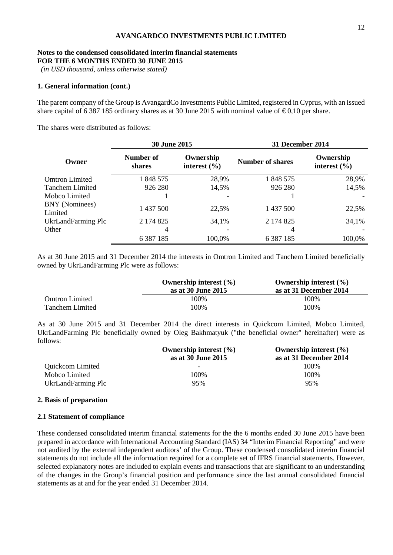#### **Notes to the condensed consolidated interim financial statements FOR THE 6 MONTHS ENDED 30 JUNE 2015**

*(in USD thousand, unless otherwise stated)*

#### **1. General information (cont.)**

The parent company of the Group is AvangardCo Investments Public Limited, registered in Cyprus, with an issued share capital of 6 387 185 ordinary shares as at 30 June 2015 with nominal value of  $\epsilon 0,10$  per share.

The shares were distributed as follows:

|                                  | 30 June 2015        |                               | <b>31 December 2014</b> |                               |  |
|----------------------------------|---------------------|-------------------------------|-------------------------|-------------------------------|--|
| Owner                            | Number of<br>shares | Ownership<br>interest $(\% )$ | Number of shares        | Ownership<br>interest $(\% )$ |  |
| <b>Omtron Limited</b>            | 1 848 575           | 28,9%                         | 1 848 575               | 28,9%                         |  |
| <b>Tanchem Limited</b>           | 926 280             | 14,5%                         | 926 280                 | 14,5%                         |  |
| Mobco Limited                    |                     | ۰                             |                         |                               |  |
| <b>BNY</b> (Nominees)<br>Limited | 1 437 500           | 22,5%                         | 1 437 500               | 22,5%                         |  |
| UkrLandFarming Plc               | 2 174 825           | 34,1%                         | 2 174 825               | 34,1%                         |  |
| Other                            | 4                   |                               | 4                       |                               |  |
|                                  | 6 3 8 7 1 8 5       | 100,0%                        | 6 3 8 7 1 8 5           | 100,0%                        |  |

As at 30 June 2015 and 31 December 2014 the interests in Omtron Limited and Tanchem Limited beneficially owned by UkrLandFarming Plc were as follows:

|                       | Ownership interest $(\% )$<br>as at 30 June 2015 | Ownership interest $(\% )$<br>as at 31 December 2014 |
|-----------------------|--------------------------------------------------|------------------------------------------------------|
| <b>Omtron Limited</b> | 100%                                             | 100%                                                 |
| Tanchem Limited       | 100%                                             | 100%                                                 |

As at 30 June 2015 and 31 December 2014 the direct interests in Quickcom Limited, Mobco Limited, UkrLandFarming Plc beneficially owned by Oleg Bakhmatyuk ("the beneficial owner" hereinafter) were as follows:

|                    | Ownership interest $(\% )$ | Ownership interest $(\% )$ |
|--------------------|----------------------------|----------------------------|
|                    | as at 30 June 2015         | as at 31 December 2014     |
| Quickcom Limited   | -                          | 100%                       |
| Mobco Limited      | 100%                       | 100%                       |
| UkrLandFarming Plc | 95%                        | 95%                        |

#### **2. Basis of preparation**

#### **2.1 Statement of compliance**

These condensed consolidated interim financial statements for the the 6 months ended 30 June 2015 have been prepared in accordance with International Accounting Standard (IAS) 34 "Interim Financial Reporting" and were not audited by the external independent auditors' of the Group. These condensed consolidated interim financial statements do not include all the information required for a complete set of IFRS financial statements. However, selected explanatory notes are included to explain events and transactions that are significant to an understanding of the changes in the Group's financial position and performance since the last annual consolidated financial statements as at and for the year ended 31 December 2014.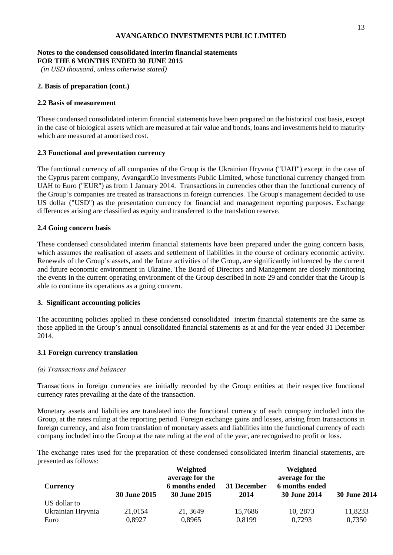#### **Notes to the condensed consolidated interim financial statements FOR THE 6 MONTHS ENDED 30 JUNE 2015**

*(in USD thousand, unless otherwise stated)*

#### **2. Basis of preparation (cont.)**

#### **2.2 Basis of measurement**

These condensed consolidated interim financial statements have been prepared on the historical cost basis, except in the case of biological assets which are measured at fair value and bonds, loans and investments held to maturity which are measured at amortised cost.

#### **2.3 Functional and presentation currency**

The functional currency of all companies of the Group is the Ukrainian Hryvnia ("UAH") except in the case of the Cyprus parent company, AvangardCo Investments Public Limited, whose functional currency changed from UAH to Euro ("EUR") as from 1 January 2014. Transactions in currencies other than the functional currency of the Group's companies are treated as transactions in foreign currencies. The Group's management decided to use US dollar ("USD") as the presentation currency for financial and management reporting purposes. Exchange differences arising are classified as equity and transferred to the translation reserve.

#### **2.4 Going concern basis**

These condensed consolidated interim financial statements have been prepared under the going concern basis, which assumes the realisation of assets and settlement of liabilities in the course of ordinary economic activity. Renewals of the Group's assets, and the future activities of the Group, are significantly influenced by the current and future economic environment in Ukraine. The Board of Directors and Management are closely monitoring the events in the current operating environment of the Group described in note 29 and concider that the Group is able to continue its operations as a going concern.

#### **3. Significant accounting policies**

The accounting policies applied in these condensed consolidated interim financial statements are the same as those applied in the Group's annual consolidated financial statements as at and for the year ended 31 December 2014.

#### **3.1 Foreign currency translation**

#### *(а) Transactions and balances*

Transactions in foreign currencies are initially recorded by the Group entities at their respective functional currency rates prevailing at the date of the transaction.

Monetary assets and liabilities are translated into the functional currency of each company included into the Group, at the rates ruling at the reporting period. Foreign exchange gains and losses, arising from transactions in foreign currency, and also from translation of monetary assets and liabilities into the functional currency of each company included into the Group at the rate ruling at the end of the year, are recognised to profit or loss.

The exchange rates used for the preparation of these condensed consolidated interim financial statements, are presented as follows:

|                   |                     | Weighted                          |             | Weighted                          |                     |
|-------------------|---------------------|-----------------------------------|-------------|-----------------------------------|---------------------|
| Currency          |                     | average for the<br>6 months ended | 31 December | average for the<br>6 months ended |                     |
|                   | <b>30 June 2015</b> | <b>30 June 2015</b>               | 2014        | <b>30 June 2014</b>               | <b>30 June 2014</b> |
| US dollar to      |                     |                                   |             |                                   |                     |
| Ukrainian Hryvnia | 21,0154             | 21, 3649                          | 15,7686     | 10, 2873                          | 11,8233             |
| Euro              | 0,8927              | 0,8965                            | 0,8199      | 0,7293                            | 0,7350              |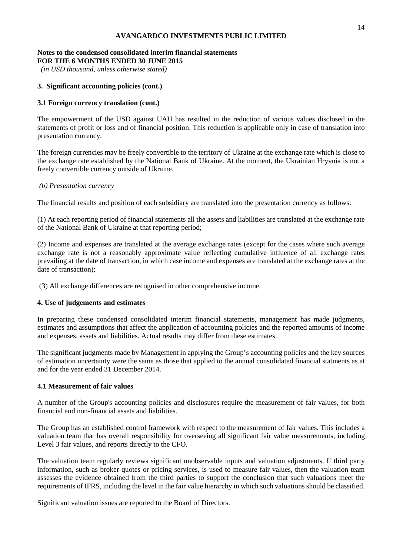#### **Notes to the condensed consolidated interim financial statements FOR THE 6 MONTHS ENDED 30 JUNE 2015**

*(in USD thousand, unless otherwise stated)*

## **3. Significant accounting policies (cont.)**

#### **3.1 Foreign currency translation (cont.)**

The empowerment of the USD against UAH has resulted in the reduction of various values disclosed in the statements of profit or loss and of financial position. This reduction is applicable only in case of translation into presentation currency.

The foreign currencies may be freely convertible to the territory of Ukraine at the exchange rate which is close to the exchange rate established by the National Bank of Ukraine. At the moment, the Ukrainian Hryvnia is not a freely convertible currency outside of Ukraine.

#### *(b) Presentation currency*

The financial results and position of each subsidiary are translated into the presentation currency as follows:

(1) At each reporting period of financial statements all the assets and liabilities are translated at the exchange rate of the National Bank of Ukraine at that reporting period;

(2) Income and expenses are translated at the average exchange rates (except for the cases where such average exchange rate is not a reasonably approximate value reflecting cumulative influence of all exchange rates prevailing at the date of transaction, in which case income and expenses are translated at the exchange rates at the date of transaction);

(3) All exchange differences are recognised in other comprehensive income.

#### **4. Use of judgements and estimates**

In preparing these condensed consolidated interim financial statements, management has made judgments, estimates and assumptions that affect the application of accounting policies and the reported amounts of income and expenses, assets and liabilities. Actual results may differ from these estimates.

The significant judgments made by Management in applying the Group's accounting policies and the key sources of estimation uncertainty were the same as those that applied to the annual consolidated financial statments as at and for the year ended 31 December 2014.

#### **4.1 Measurement of fair values**

A number of the Group's accounting policies and disclosures require the measurement of fair values, for both financial and non-financial assets and liabilities.

The Group has an established control framework with respect to the measurement of fair values. This includes a valuation team that has overall responsibility for overseeing all significant fair value measurements, including Level 3 fair values, and reports directly to the CFO.

The valuation team regularly reviews significant unobservable inputs and valuation adjustments. If third party information, such as broker quotes or pricing services, is used to measure fair values, then the valuation team assesses the evidence obtained from the third parties to support the conclusion that such valuations meet the requirements of IFRS, including the level in the fair value hierarchy in which such valuations should be classified.

Significant valuation issues are reported to the Board of Directors.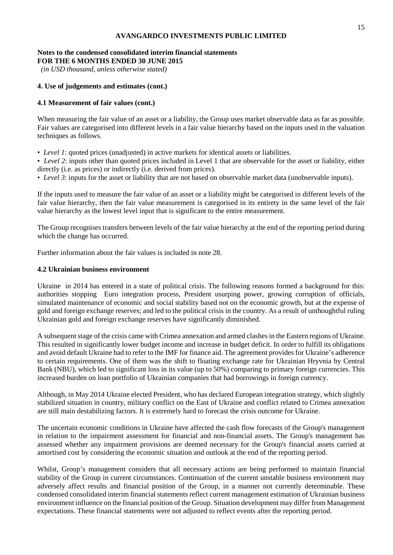#### **Notes to the condensed consolidated interim financial statements FOR THE 6 MONTHS ENDED 30 JUNE 2015**

*(in USD thousand, unless otherwise stated)*

### **4. Use of judgements and estimates (cont.)**

#### **4.1 Measurement of fair values (cont.)**

When measuring the fair value of an asset or a liability, the Group uses market observable data as far as possible. Fair values are categorised into different levels in a fair value hierarchy based on the inputs used in the valuation techniques as follows.

• *Level 1*: quoted prices (unadjusted) in active markets for identical assets or liabilities.

• *Level 2*: inputs other than quoted prices included in Level 1 that are observable for the asset or liability, either directly (i.e. as prices) or indirectly (i.e. derived from prices).

• *Level 3*: inputs for the asset or liability that are not based on observable market data (unobservable inputs).

If the inputs used to measure the fair value of an asset or a liability might be categorised in different levels of the fair value hierarchy, then the fair value measurement is categorised in its entirety in the same level of the fair value hierarchy as the lowest level input that is significant to the entire measurement.

The Group recognises transfers between levels of the fair value hierarchy at the end of the reporting period during which the change has occurred.

Further information about the fair values is included in note 28.

#### **4.2 Ukrainian business environment**

Ukraine in 2014 has entered in a state of political crisis. The following reasons formed a background for this: authorities stopping Euro integration process, President usurping power, growing corruption of officials, simulated maintenance of economic and social stability based not on the economic growth, but at the expense of gold and foreign exchange reserves; and led to the political crisis in the country. As a result of unthoughtful ruling Ukrainian gold and foreign exchange reserves have significantly diminished.

A subsequent stage of the crisis came with Crimea annexation and armed clashes in the Eastern regions of Ukraine. This resulted in significantly lower budget income and increase in budget deficit. In order to fulfill its obligations and avoid default Ukraine had to refer to the IMF for finance aid. The agreement provides for Ukraine's adherence to certain requirements. One of them was the shift to floating exchange rate for Ukrainian Hryvnia by Central Bank (NBU), which led to significant loss in its value (up to 50%) comparing to primary foreign currencies. This increased burden on loan portfolio of Ukrainian companies that had borrowings in foreign currency.

Although, in May 2014 Ukraine elected President, who has declared European integration strategy, which slightly stabilized situation in country, military conflict on the East of Ukraine and conflict related to Crimea annexation are still main destabilizing factors. It is extremely hard to forecast the crisis outcome for Ukraine.

The uncertain economic conditions in Ukraine have affected the cash flow forecasts of the Group's management in relation to the impairment assessment for financial and non-financial assets. The Group's management has assessed whether any impairment provisions are deemed necessary for the Group's financial assets carried at amortised cost by considering the economic situation and outlook at the end of the reporting period.

Whilst, Group's management considers that all necessary actions are being performed to maintain financial stability of the Group in current circumstances. Continuation of the current unstable business environment may adversely affect results and financial position of the Group, in a manner not currently determinable. These condensed consolidated interim financial statements reflect current management estimation of Ukrainian business environment influence on the financial position of the Group. Situation development may differ from Management expectations. These financial statements were not adjusted to reflect events after the reporting period.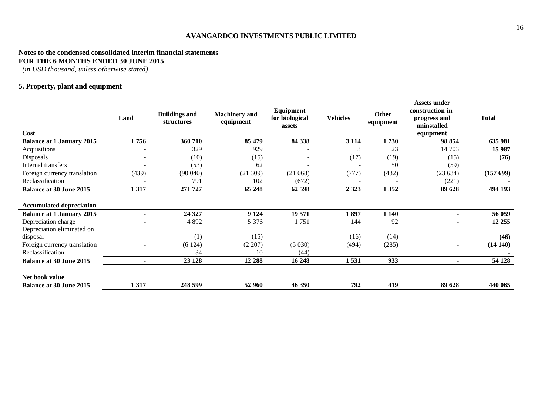#### **Notes to the condensed consolidated interim financial statements FOR THE 6 MONTHS ENDED 30 JUNE 2015**

*(in USD thousand, unless otherwise stated)*

### **5. Property, plant and equipment**

| Cost                             | Land  | <b>Buildings and</b><br>structures | <b>Machinery</b> and<br>equipment | Equipment<br>for biological<br>assets | <b>Vehicles</b> | <b>Other</b><br>equipment | Assets under<br>construction-in-<br>progress and<br>uninstalled<br>equipment | <b>Total</b> |
|----------------------------------|-------|------------------------------------|-----------------------------------|---------------------------------------|-----------------|---------------------------|------------------------------------------------------------------------------|--------------|
| <b>Balance at 1 January 2015</b> | 1756  | 360 710                            | 85 479                            | 84 338                                | 3 1 1 4         | 1730                      | 98 854                                                                       | 635 981      |
| Acquisitions                     |       | 329                                | 929                               |                                       | 3               | 23                        | 14 703                                                                       | 15 987       |
| Disposals                        |       | (10)                               | (15)                              |                                       | (17)            | (19)                      | (15)                                                                         | (76)         |
| Internal transfers               |       | (53)                               | 62                                |                                       |                 | 50                        | (59)                                                                         |              |
| Foreign currency translation     | (439) | (90040)                            | (21309)                           | (21068)                               | (777)           | (432)                     | (23634)                                                                      | (15769)      |
| Reclassification                 |       | 791                                | 102                               | (672)                                 | $\overline{a}$  |                           | (221)                                                                        |              |
| <b>Balance at 30 June 2015</b>   | 1317  | 271 727                            | 65 248                            | 62 598                                | 2 3 2 3         | 1352                      | 89 628                                                                       | 494 193      |
| <b>Accumulated depreciation</b>  |       |                                    |                                   |                                       |                 |                           |                                                                              |              |
| <b>Balance at 1 January 2015</b> |       | 24 3 27                            | 9 1 24                            | 19 571                                | 1897            | 1 1 4 0                   | $\blacksquare$                                                               | 56 059       |
| Depreciation charge              |       | 4892                               | 5 3 7 6                           | 1751                                  | 144             | 92                        |                                                                              | 12 25 5      |
| Depreciation eliminated on       |       |                                    |                                   |                                       |                 |                           |                                                                              |              |
| disposal                         |       | (1)                                | (15)                              |                                       | (16)            | (14)                      |                                                                              | (46)         |
| Foreign currency translation     |       | (6124)                             | (2 207)                           | (5030)                                | (494)           | (285)                     | $\overline{\phantom{a}}$                                                     | (14140)      |
| Reclassification                 |       | 34                                 | 10                                | (44)                                  |                 |                           |                                                                              |              |
| <b>Balance at 30 June 2015</b>   |       | 23 1 28                            | 12 288                            | 16 248                                | 1531            | 933                       | $\sim$                                                                       | 54 128       |
| Net book value                   |       |                                    |                                   |                                       |                 |                           |                                                                              |              |
| <b>Balance at 30 June 2015</b>   | 1317  | 248 599                            | 52 960                            | 46 350                                | 792             | 419                       | 89 628                                                                       | 440 065      |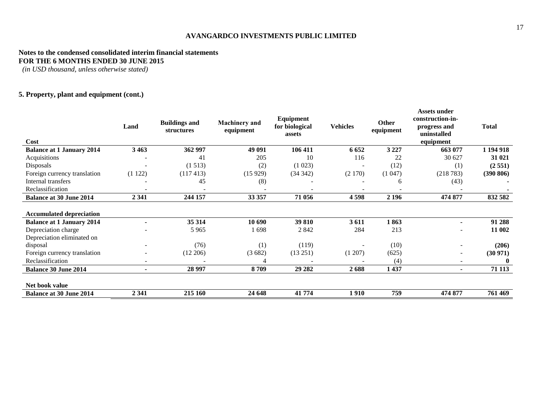#### **Notes to the condensed consolidated interim financial statements FOR THE 6 MONTHS ENDED 30 JUNE 2015**

*(in USD thousand, unless otherwise stated)*

### **5. Property, plant and equipment (cont.)**

| Cost                             | Land           | <b>Buildings and</b><br>structures | <b>Machinery</b> and<br>equipment | Equipment<br>for biological<br>assets | <b>Vehicles</b> | Other<br>equipment | <b>Assets under</b><br>construction-in-<br>progress and<br>uninstalled<br>equipment | <b>Total</b> |
|----------------------------------|----------------|------------------------------------|-----------------------------------|---------------------------------------|-----------------|--------------------|-------------------------------------------------------------------------------------|--------------|
| <b>Balance at 1 January 2014</b> | 3 4 6 3        | 362 997                            | 49 091                            | 106 411                               | 6 6 5 2         | 3 2 2 7            | 663 077                                                                             | 1 194 918    |
| Acquisitions                     |                | 41                                 | 205                               | 10                                    | 116             | 22                 | 30 627                                                                              | 31 021       |
| Disposals                        |                | (1513)                             | (2)                               | (1023)                                |                 | (12)               | (1)                                                                                 | (2551)       |
| Foreign currency translation     | (1122)         | (117413)                           | (15929)                           | (34342)                               | (2170)          | (1047)             | (218783)                                                                            | (390 806)    |
| Internal transfers               |                | 45                                 | (8)                               |                                       |                 | 6                  | (43)                                                                                |              |
| Reclassification                 |                |                                    |                                   |                                       |                 |                    |                                                                                     |              |
| <b>Balance at 30 June 2014</b>   | 2 3 4 1        | 244 157                            | 33 357                            | 71 056                                | 4598            | 2 1 9 6            | 474 877                                                                             | 832 582      |
| <b>Accumulated depreciation</b>  |                |                                    |                                   |                                       |                 |                    |                                                                                     |              |
| <b>Balance at 1 January 2014</b> |                | 35 314                             | 10 690                            | 39 810                                | 3611            | 1863               |                                                                                     | 91 288       |
| Depreciation charge              |                | 5 9 6 5                            | 1698                              | 2 8 4 2                               | 284             | 213                |                                                                                     | 11 002       |
| Depreciation eliminated on       |                |                                    |                                   |                                       |                 |                    |                                                                                     |              |
| disposal                         |                | (76)                               | (1)                               | (119)                                 |                 | (10)               |                                                                                     | (206)        |
| Foreign currency translation     |                | (12 206)                           | (3682)                            | (13 251)                              | (1 207)         | (625)              | $\overline{\phantom{m}}$                                                            | (30971)      |
| Reclassification                 |                |                                    |                                   |                                       |                 | (4)                | $\overline{\phantom{a}}$                                                            | $\mathbf{0}$ |
| <b>Balance 30 June 2014</b>      | $\blacksquare$ | 28 997                             | 8709                              | 29 28 2                               | 2688            | 1 437              | $\blacksquare$                                                                      | 71 113       |
| Net book value                   |                |                                    |                                   |                                       |                 |                    |                                                                                     |              |
| <b>Balance at 30 June 2014</b>   | 2 3 4 1        | 215 160                            | 24 648                            | 41 774                                | 1910            | 759                | 474 877                                                                             | 761 469      |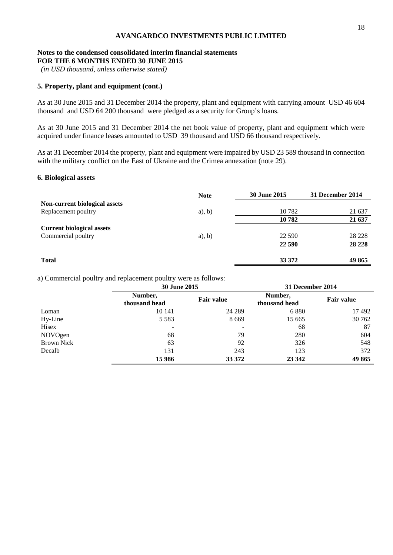#### **Notes to the condensed consolidated interim financial statements FOR THE 6 MONTHS ENDED 30 JUNE 2015**

*(in USD thousand, unless otherwise stated)*

#### **5. Property, plant and equipment (cont.)**

As at 30 June 2015 and 31 December 2014 the property, plant and equipment with carrying amount USD 46 604 thousand and USD 64 200 thousand were pledged as a security for Group's loans.

As at 30 June 2015 and 31 December 2014 the net book value of property, plant and equipment which were acquired under finance leases amounted to USD 39 thousand and USD 66 thousand respectively.

As at 31 December 2014 the property, plant and equipment were impaired by USD 23 589 thousand in connection with the military conflict on the East of Ukraine and the Crimea annexation (note 29).

#### **6. Biological assets**

|                                  | <b>Note</b> | <b>30 June 2015</b> | 31 December 2014 |
|----------------------------------|-------------|---------------------|------------------|
| Non-current biological assets    |             |                     |                  |
| Replacement poultry              | $a)$ , b)   | 10 782              | 21 637           |
|                                  |             | 10782               | 21 637           |
| <b>Current biological assets</b> |             |                     |                  |
| Commercial poultry               | $a)$ , b)   | 22 590              | 28 228           |
|                                  |             | 22 590              | 28 228           |
| <b>Total</b>                     |             | 33 372              | 49 865           |

a) Commercial poultry and replacement poultry were as follows:

|                   | <b>30 June 2015</b>      |                   | 31 December 2014         |                   |
|-------------------|--------------------------|-------------------|--------------------------|-------------------|
|                   | Number,<br>thousand head | <b>Fair value</b> | Number,<br>thousand head | <b>Fair value</b> |
| Loman             | 10 14 1                  | 24 289            | 6880                     | 17492             |
| Hy-Line           | 5 5 8 3                  | 8 6 6 9           | 15 665                   | 30 762            |
| Hisex             |                          |                   | 68                       | 87                |
| NOVOgen           | 68                       | 79                | 280                      | 604               |
| <b>Brown Nick</b> | 63                       | 92                | 326                      | 548               |
| Decalb            | 131                      | 243               | 123                      | 372               |
|                   | 15 986                   | 33 372            | 23 342                   | 49 865            |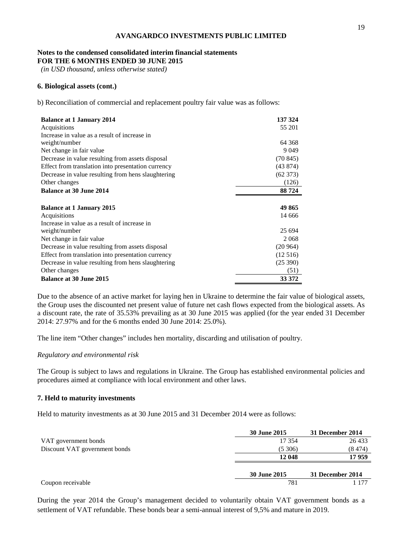#### **Notes to the condensed consolidated interim financial statements FOR THE 6 MONTHS ENDED 30 JUNE 2015**

*(in USD thousand, unless otherwise stated)*

#### **6. Biological assets (cont.)**

b) Reconciliation of commercial and replacement poultry fair value was as follows:

| <b>Balance at 1 January 2014</b>                   | 137 324  |
|----------------------------------------------------|----------|
| Acquisitions                                       | 55 201   |
| Increase in value as a result of increase in       |          |
| weight/number                                      | 64 3 68  |
| Net change in fair value                           | 9 0 4 9  |
| Decrease in value resulting from assets disposal   | (70845)  |
| Effect from translation into presentation currency | (43874)  |
| Decrease in value resulting from hens slaughtering | (62 373) |
| Other changes                                      | (126)    |
| <b>Balance at 30 June 2014</b>                     | 88 724   |
|                                                    |          |
| <b>Balance at 1 January 2015</b>                   | 49 865   |
| Acquisitions                                       | 14 666   |
| Increase in value as a result of increase in       |          |
| weight/number                                      | 25 694   |
| Net change in fair value                           | 2068     |
| Decrease in value resulting from assets disposal   | (20964)  |
| Effect from translation into presentation currency | (12516)  |
| Decrease in value resulting from hens slaughtering | (25 390) |
| Other changes                                      | (51)     |
| <b>Balance at 30 June 2015</b>                     | 33 372   |

Due to the absence of an active market for laying hen in Ukraine to determine the fair value of biological assets, the Group uses the discounted net present value of future net cash flows expected from the biological assets. As a discount rate, the rate of 35.53% prevailing as at 30 June 2015 was applied (for the year ended 31 December 2014: 27.97% and for the 6 months ended 30 June 2014: 25.0%).

The line item "Other changes" includes hen mortality, discarding and utilisation of poultry.

#### *Regulatory and environmental risk*

The Group is subject to laws and regulations in Ukraine. The Group has established environmental policies and procedures aimed at compliance with local environment and other laws.

#### **7. Held to maturity investments**

Held to maturity investments as at 30 June 2015 and 31 December 2014 were as follows:

|                               | <b>30 June 2015</b> | 31 December 2014 |
|-------------------------------|---------------------|------------------|
| VAT government bonds          | 17 354              | 26 433           |
| Discount VAT government bonds | (5, 306)            | (8474)           |
|                               | 12 048              | 17959            |
|                               | <b>30 June 2015</b> | 31 December 2014 |
| Coupon receivable             | 781                 | 1 177            |

During the year 2014 the Group's management decided to voluntarily obtain VAT government bonds as a settlement of VAT refundable. These bonds bear a semi-annual interest of 9,5% and mature in 2019.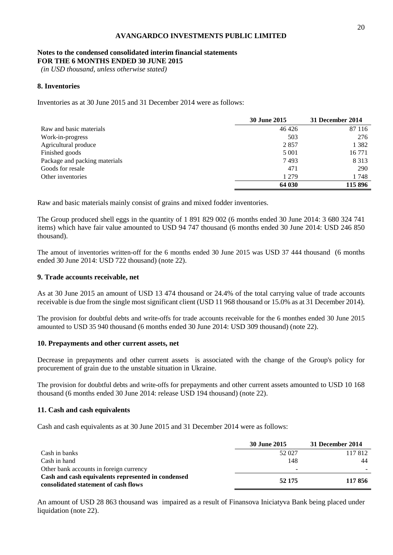#### **Notes to the condensed consolidated interim financial statements FOR THE 6 MONTHS ENDED 30 JUNE 2015**

*(in USD thousand, unless otherwise stated)*

#### **8. Inventories**

Inventories as at 30 June 2015 and 31 December 2014 were as follows:

|                               | <b>30 June 2015</b> | 31 December 2014 |
|-------------------------------|---------------------|------------------|
| Raw and basic materials       | 46 4 26             | 87 116           |
| Work-in-progress              | 503                 | 276              |
| Agricultural produce          | 2857                | 1 3 8 2          |
| Finished goods                | 5 0 0 1             | 16 771           |
| Package and packing materials | 7493                | 8 3 1 3          |
| Goods for resale              | 471                 | 290              |
| Other inventories             | 1 2 7 9             | 1748             |
|                               | 64 030              | 115 896          |

Raw and basic materials mainly consist of grains and mixed fodder inventories.

The Group produced shell eggs in the quantity of 1 891 829 002 (6 months ended 30 June 2014: 3 680 324 741 items) which have fair value amounted to USD 94 747 thousand (6 months ended 30 June 2014: USD 246 850 thousand).

The amout of inventories written-off for the 6 months ended 30 June 2015 was USD 37 444 thousand (6 months ended 30 June 2014: USD 722 thousand) (note 22).

#### **9. Trade accounts receivable, net**

As at 30 June 2015 an amount of USD 13 474 thousand or 24.4% of the total carrying value of trade accounts receivable is due from the single most significant client (USD 11 968 thousand or 15.0% as at 31 December 2014).

The provision for doubtful debts and write-offs for trade accounts receivable for the 6 monthes ended 30 June 2015 amounted to USD 35 940 thousand (6 months ended 30 June 2014: USD 309 thousand) (note 22).

#### **10. Prepayments and other current assets, net**

Decrease in prepayments and other current assets is associated with the change of the Group's policy for procurement of grain due to the unstable situation in Ukraine.

The provision for doubtful debts and write-offs for prepayments and other current assets amounted to USD 10 168 thousand (6 months ended 30 June 2014: release USD 194 thousand) (note 22).

#### **11. Cash and cash equivalents**

Cash and cash equivalents as at 30 June 2015 and 31 December 2014 were as follows:

|                                                                                            | <b>30 June 2015</b> | 31 December 2014 |
|--------------------------------------------------------------------------------------------|---------------------|------------------|
| Cash in banks                                                                              | 52 027              | 117812           |
| Cash in hand                                                                               | 148                 | 44               |
| Other bank accounts in foreign currency                                                    | -                   |                  |
| Cash and cash equivalents represented in condensed<br>consolidated statement of cash flows | 52 175              | 117856           |

An amount of USD 28 863 thousand was impaired as a result of Finansova Iniciatyva Bank being placed under liquidation (note 22).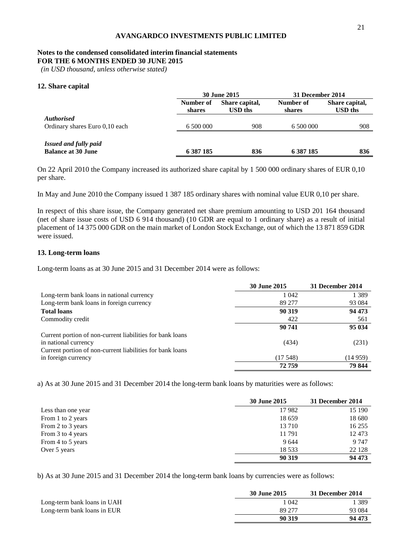### **Notes to the condensed consolidated interim financial statements**

**FOR THE 6 MONTHS ENDED 30 JUNE 2015**

*(in USD thousand, unless otherwise stated)*

#### **12. Share capital**

|                                                           | <b>30 June 2015</b> |                           | 31 December 2014    |                                  |
|-----------------------------------------------------------|---------------------|---------------------------|---------------------|----------------------------------|
|                                                           | Number of<br>shares | Share capital,<br>USD ths | Number of<br>shares | Share capital,<br><b>USD</b> ths |
| <i>Authorised</i><br>Ordinary shares Euro 0,10 each       | 6 500 000           | 908                       | 6 500 000           | 908                              |
| <b>Issued and fully paid</b><br><b>Balance at 30 June</b> | 6 387 185           | 836                       | 6 387 185           | 836                              |

On 22 April 2010 the Company increased its authorized share capital by 1 500 000 ordinary shares of EUR 0,10 per share.

In May and June 2010 the Company issued 1 387 185 ordinary shares with nominal value EUR 0,10 per share.

In respect of this share issue, the Company generated net share premium amounting to USD 201 164 thousand (net of share issue costs of USD 6 914 thousand) (10 GDR are equal to 1 ordinary share) as a result of initial placement of 14 375 000 GDR on the main market of London Stock Exchange, out of which the 13 871 859 GDR were issued.

#### **13. Long-term loans**

Long-term loans as at 30 June 2015 and 31 December 2014 were as follows:

|                                                           | <b>30 June 2015</b> | 31 December 2014 |
|-----------------------------------------------------------|---------------------|------------------|
| Long-term bank loans in national currency                 | 1 0 4 2             | 1 3 8 9          |
| Long-term bank loans in foreign currency                  | 89 277              | 93 0 84          |
| <b>Total loans</b>                                        | 90 319              | 94 473           |
| Commodity credit                                          | 422                 | 561              |
|                                                           | 90 741              | 95 034           |
| Current portion of non-current liabilities for bank loans |                     |                  |
| in national currency                                      | (434)               | (231)            |
| Current portion of non-current liabilities for bank loans |                     |                  |
| in foreign currency                                       | (17548)             | (14959)          |
|                                                           | 72759               | 79 844           |

a) As at 30 June 2015 and 31 December 2014 the long-term bank loans by maturities were as follows:

|                    | <b>30 June 2015</b> | 31 December 2014 |
|--------------------|---------------------|------------------|
| Less than one year | 17982               | 15 190           |
| From 1 to 2 years  | 18 659              | 18 680           |
| From 2 to 3 years  | 13710               | 16 255           |
| From 3 to 4 years  | 11791               | 12 473           |
| From 4 to 5 years  | 9644                | 9 7 4 7          |
| Over 5 years       | 18 5 33             | 22 1 28          |
|                    | 90 319              | 94 473           |

b) As at 30 June 2015 and 31 December 2014 the long-term bank loans by currencies were as follows:

|                             | 30 June 2015 | 31 December 2014 |
|-----------------------------|--------------|------------------|
| Long-term bank loans in UAH | 1 042        | 389              |
| Long-term bank loans in EUR | 89 277       | 93 0 84          |
|                             | 90 319       | 94 473           |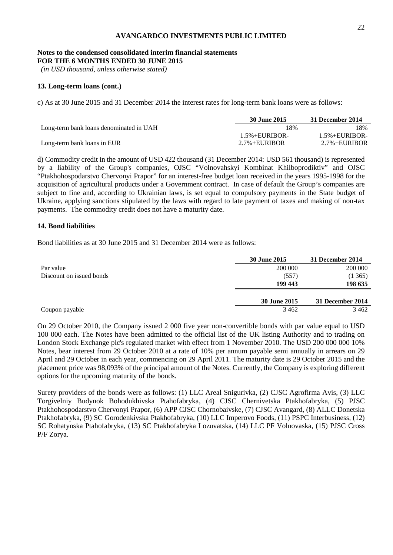#### **Notes to the condensed consolidated interim financial statements FOR THE 6 MONTHS ENDED 30 JUNE 2015**

*(in USD thousand, unless otherwise stated)*

#### **13. Long-term loans (cont.)**

c) As at 30 June 2015 and 31 December 2014 the interest rates for long-term bank loans were as follows:

|                                         | 30 June 2015             | 31 December 2014         |
|-----------------------------------------|--------------------------|--------------------------|
| Long-term bank loans denominated in UAH | 18%                      | 18%                      |
|                                         | $1.5\% + \text{EURIBOR}$ | $1.5\% + \text{EURIBOR}$ |
| Long-term bank loans in EUR             | $2.7\% + EIIRIBOR$       | $2.7\% + \text{EURIBOR}$ |

d) Commodity credit in the amount of USD 422 thousand (31 December 2014: USD 561 thousand) is represented by a liability of the Group's companies, OJSC "Volnovahskyi Kombinat Khilboprodiktiv" and OJSC "Ptakhohospodarstvo Chervonyi Prapor" for an interest-free budget loan received in the years 1995-1998 for the acquisition of agricultural products under a Government contract. In case of default the Group's companies are subject to fine and, according to Ukrainian laws, is set equal to compulsory payments in the State budget of Ukraine, applying sanctions stipulated by the laws with regard to late payment of taxes and making of non-tax payments. The commodity credit does not have a maturity date.

#### **14. Bond liabilities**

Bond liabilities as at 30 June 2015 and 31 December 2014 were as follows:

|                          | <b>30 June 2015</b> | 31 December 2014 |
|--------------------------|---------------------|------------------|
| Par value                | 200 000             | 200 000          |
| Discount on issued bonds | (557)               | (1365)           |
|                          | 199 443             | 198 635          |
|                          |                     |                  |
|                          | 30 June 2015        | 31 December 2014 |
| Coupon payable           | 3462                | 3462             |

On 29 October 2010, the Company issued 2 000 five year non-convertible bonds with par value equal to USD 100 000 each. The Notes have been admitted to the official list of the UK listing Authority and to trading on London Stock Exchange plc's regulated market with effect from 1 November 2010. The USD 200 000 000 10% Notes, bear interest from 29 October 2010 at a rate of 10% per annum payable semi annually in arrears on 29 April and 29 October in each year, commencing on 29 April 2011. The maturity date is 29 October 2015 and the placement price was 98,093% of the principal amount of the Notes. Currently, the Company is exploring different options for the upcoming maturity of the bonds.

Surety providers of the bonds were as follows: (1) LLC Areal Snigurivka, (2) CJSC Agrofirma Avis, (3) LLC Torgivelniy Budynok Bohodukhivska Ptahofabryka, (4) CJSC Chernivetska Ptakhofabryka, (5) PJSC Ptakhohospodarstvo Chervonyi Prapor, (6) APP CJSC Chornobaivske, (7) CJSC Avangard, (8) ALLC Donetska Ptakhofabryka, (9) SC Gorodenkivska Ptakhofabryka, (10) LLC Imperovo Foods, (11) PSPC Interbusiness, (12) SC Rohatynska Ptahofabryka, (13) SC Ptakhofabryka Lozuvatska, (14) LLC PF Volnovaska, (15) PJSC Cross P/F Zorya.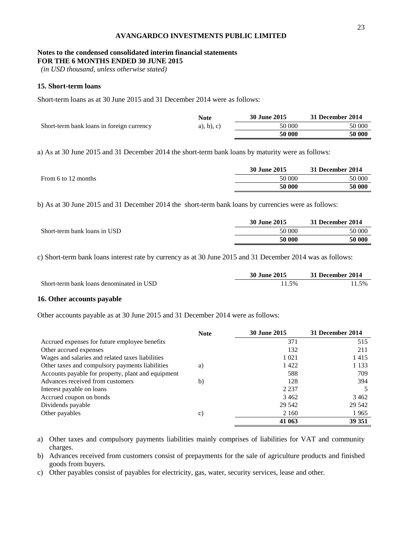# **Notes to the condensed consolidated interim financial statements**

**FOR THE 6 MONTHS ENDED 30 JUNE 2015**

*(in USD thousand, unless otherwise stated)*

### **15. Short-term loans**

Short-term loans as at 30 June 2015 and 31 December 2014 were as follows:

|                                           | <b>Note</b>   | 30 June 2015 | 31 December 2014 |
|-------------------------------------------|---------------|--------------|------------------|
| Short-term bank loans in foreign currency | $a)$ , b), c) | 50 000       | 50 000           |
|                                           |               | 50 000       | 50 000           |

а) As at 30 June 2015 and 31 December 2014 the short-term bank loans by maturity were as follows:

|                     | <b>30 June 2015</b> | 31 December 2014 |
|---------------------|---------------------|------------------|
| From 6 to 12 months | 50 000              | 50 000           |
|                     | 50 000              | 50 000           |

b) As at 30 June 2015 and 31 December 2014 the short-term bank loans by currencies were as follows:

|                              | <b>30 June 2015</b> | 31 December 2014 |
|------------------------------|---------------------|------------------|
| Short-term bank loans in USD | 50 000              | 50 000           |
|                              | 50 000              | 50 000           |

c) Short-term bank loans interest rate by currency as at 30 June 2015 and 31 December 2014 was as follows:

|                                          | <b>30 June 2015</b> | 31 December 2014 |
|------------------------------------------|---------------------|------------------|
| Short-term bank loans denominated in USD | 1.5%                | 1.5%             |

#### **16. Other accounts payable**

Other accounts payable as at 30 June 2015 and 31 December 2014 were as follows:

|                                                    | <b>Note</b> | <b>30 June 2015</b> | 31 December 2014 |
|----------------------------------------------------|-------------|---------------------|------------------|
| Accrued expenses for future employee benefits      |             | 371                 | 515              |
| Other accrued expenses                             |             | 132                 | 211              |
| Wages and salaries and related taxes liabilities   |             | 1 0 2 1             | 1415             |
| Other taxes and compulsory payments liabilities    | a)          | 1422                | 1 1 3 3          |
| Accounts payable for property, plant and equipment |             | 588                 | 709              |
| Advances received from customers                   | b)          | 128                 | 394              |
| Interest payable on loans                          |             | 2 2 3 7             |                  |
| Accrued coupon on bonds                            |             | 3462                | 3462             |
| Dividends payable                                  |             | 29 542              | 29 542           |
| Other payables                                     | c)          | 2 1 6 0             | 1965             |
|                                                    |             | 41 063              | 39 351           |

a) Other taxes and compulsory payments liabilities mainly comprises of liabilities for VAT and community charges.

b) Advances received from customers consist of prepayments for the sale of agriculture products and finished goods from buyers.

c) Other payables consist of payables for electricity, gas, water, security services, lease and other.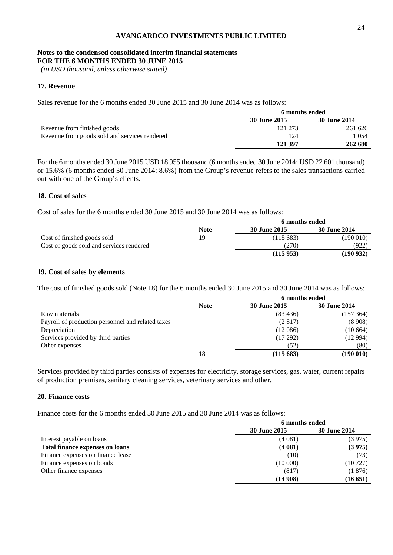#### **Notes to the condensed consolidated interim financial statements FOR THE 6 MONTHS ENDED 30 JUNE 2015**

*(in USD thousand, unless otherwise stated)*

#### **17. Revenue**

Sales revenue for the 6 months ended 30 June 2015 and 30 June 2014 was as follows:

|                                               | 6 months ended |                     |
|-----------------------------------------------|----------------|---------------------|
|                                               | 30 June 2015   | <b>30 June 2014</b> |
| Revenue from finished goods                   | 121 273        | 261 626             |
| Revenue from goods sold and services rendered | 124            | 1 054               |
|                                               | 121 397        | 262 680             |

For the 6 months ended 30 June 2015 USD 18 955 thousand (6 months ended 30 June 2014: USD 22 601 thousand) or 15.6% (6 months ended 30 June 2014: 8.6%) from the Group's revenue refers to the sales transactions carried out with one of the Group's clients.

#### **18. Cost of sales**

Cost of sales for the 6 months ended 30 June 2015 and 30 June 2014 was as follows:

|                                          | 6 months ended |              |                     |
|------------------------------------------|----------------|--------------|---------------------|
|                                          | <b>Note</b>    | 30 June 2015 | <b>30 June 2014</b> |
| Cost of finished goods sold              | 19             | (115683)     | (190 010)           |
| Cost of goods sold and services rendered |                | (270)        | (922)               |
|                                          |                | (115953)     | (190 932)           |

#### **19. Cost of sales by elements**

The cost of finished goods sold (Note 18) for the 6 months ended 30 June 2015 and 30 June 2014 was as follows:

|                                                   | 6 months ended |              |                     |  |  |
|---------------------------------------------------|----------------|--------------|---------------------|--|--|
|                                                   | <b>Note</b>    | 30 June 2015 | <b>30 June 2014</b> |  |  |
| Raw materials                                     |                | (83, 436)    | (157364)            |  |  |
| Payroll of production personnel and related taxes |                | (2817)       | (8908)              |  |  |
| Depreciation                                      |                | (12086)      | (10664)             |  |  |
| Services provided by third parties                |                | (17292)      | (12994)             |  |  |
| Other expenses                                    |                | (52)         | (80)                |  |  |
|                                                   | 18             | (115683)     | (190 010)           |  |  |

Services provided by third parties consists of expenses for electricity, storage services, gas, water, current repairs of production premises, sanitary cleaning services, veterinary services and other.

#### **20. Finance costs**

Finance costs for the 6 months ended 30 June 2015 and 30 June 2014 was as follows:

|                                        | 6 months ended      |                     |  |  |
|----------------------------------------|---------------------|---------------------|--|--|
|                                        | <b>30 June 2015</b> | <b>30 June 2014</b> |  |  |
| Interest payable on loans              | (4 081)             | (3 975)             |  |  |
| <b>Total finance expenses on loans</b> | (4081)              | (3975)              |  |  |
| Finance expenses on finance lease      | (10)                | (73)                |  |  |
| Finance expenses on bonds              | (10000)             | (10727)             |  |  |
| Other finance expenses                 | (817)               | (1876)              |  |  |
|                                        | (14908)             | (16651)             |  |  |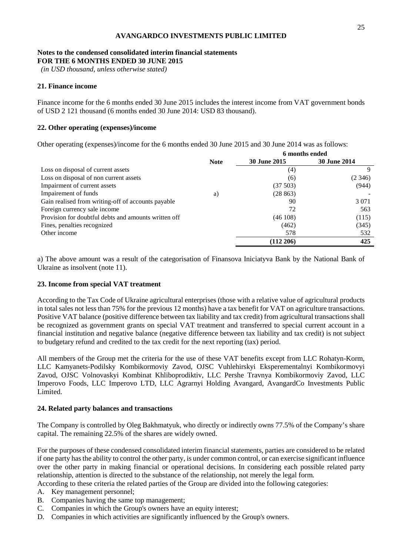#### **Notes to the condensed consolidated interim financial statements FOR THE 6 MONTHS ENDED 30 JUNE 2015**

*(in USD thousand, unless otherwise stated)*

#### **21. Finance income**

Finance income for the 6 months ended 30 June 2015 includes the interest income from VAT government bonds of USD 2 121 thousand (6 months ended 30 June 2014: USD 83 thousand).

#### **22. Other operating (expenses)/income**

Other operating (expenses)/income for the 6 months ended 30 June 2015 and 30 June 2014 was as follows:

|                                                      |             | 6 months ended      |                     |
|------------------------------------------------------|-------------|---------------------|---------------------|
|                                                      | <b>Note</b> | <b>30 June 2015</b> | <b>30 June 2014</b> |
| Loss on disposal of current assets                   |             | (4)                 | 9                   |
| Loss on disposal of non current assets               |             | (6)                 | (2, 346)            |
| Impairment of current assets                         |             | (37503)             | (944)               |
| Impairement of funds                                 | a)          | (28863)             |                     |
| Gain realised from writing-off of accounts payable   |             | 90                  | 3 0 7 1             |
| Foreign currency sale income                         |             | 72                  | 563                 |
| Provision for doubtful debts and amounts written off |             | (46108)             | (115)               |
| Fines, penalties recognized                          |             | (462)               | (345)               |
| Other income                                         |             | 578                 | 532                 |
|                                                      |             | $(112\,206)$        | 425                 |

a) The above amount was a result of the categorisation of Finansova Iniciatyva Bank by the National Bank of Ukraine as insolvent (note 11).

#### **23. Income from special VAT treatment**

According to the Tax Code of Ukraine agricultural enterprises (those with a relative value of agricultural products in total sales not less than 75% for the previous 12 months) have a tax benefit for VAT on agriculture transactions. Positive VAT balance (positive difference between tax liability and tax credit) from agricultural transactions shall be recognized as government grants on special VAT treatment and transferred to special current account in a financial institution and negative balance (negative difference between tax liability and tax credit) is not subject to budgetary refund and credited to the tax credit for the next reporting (tax) period.

All members of the Group met the criteria for the use of these VAT benefits except from LLC Rohatyn-Korm, LLC Kamyanets-Podilsky Kombikormoviy Zavod, OJSC Vuhlehirskyi Eksperementalnyi Kombikormovyi Zavod, OJSC Volnovaskyi Kombinat Khliboprodiktiv, LLC Pershe Travnya Kombikormoviy Zavod, LLC Imperovo Foods, LLC Imperovo LTD, LLC Agrarnyi Holding Avangard, AvangardCo Investments Public Limited.

#### **24. Related party balances and transactions**

The Company is controlled by Oleg Bakhmatyuk, who directly or indirectly owns 77.5% of the Company's share capital. The remaining 22.5% of the shares are widely owned.

For the purposes of these condensed consolidated interim financial statements, parties are considered to be related if one party has the ability to control the other party, is under common control, or can exercise significant influence over the other party in making financial or operational decisions. In considering each possible related party relationship, attention is directed to the substance of the relationship, not merely the legal form.

According to these criteria the related parties of the Group are divided into the following categories:

- A. Key management personnel;
- B. Companies having the same top management;
- C. Companies in which the Group's owners have an equity interest;
- D. Companies in which activities are significantly influenced by the Group's owners.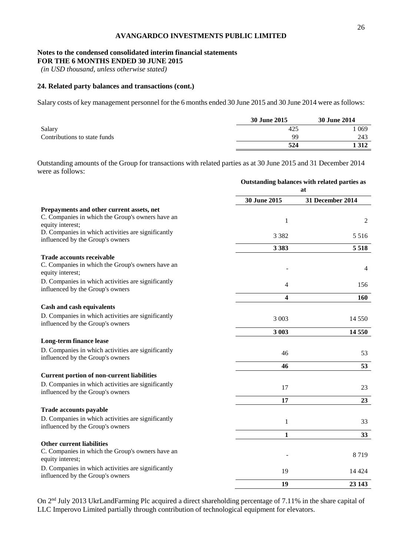### **Notes to the condensed consolidated interim financial statements**

**FOR THE 6 MONTHS ENDED 30 JUNE 2015**

*(in USD thousand, unless otherwise stated)*

#### **24. Related party balances and transactions (cont.)**

Salary costs of key management personnel for the 6 months ended 30 June 2015 and 30 June 2014 were as follows:

|                              | 30 June 2015 | <b>30 June 2014</b> |
|------------------------------|--------------|---------------------|
| Salary                       | 425          | 069                 |
| Contributions to state funds | 99           | 243                 |
|                              | 524          | 312                 |

Outstanding amounts of the Group for transactions with related parties as at 30 June 2015 and 31 December 2014 were as follows:

|                                                                                                                   |              | Outstanding balances with related parties as<br>at |  |  |
|-------------------------------------------------------------------------------------------------------------------|--------------|----------------------------------------------------|--|--|
|                                                                                                                   | 30 June 2015 | 31 December 2014                                   |  |  |
| Prepayments and other current assets, net<br>C. Companies in which the Group's owners have an<br>equity interest; | 1            | 2                                                  |  |  |
| D. Companies in which activities are significantly<br>influenced by the Group's owners                            | 3 3 8 2      | 5 5 1 6                                            |  |  |
|                                                                                                                   | 3 3 8 3      | 5 5 1 8                                            |  |  |
| <b>Trade accounts receivable</b><br>C. Companies in which the Group's owners have an<br>equity interest;          |              | 4                                                  |  |  |
| D. Companies in which activities are significantly<br>influenced by the Group's owners                            | 4            | 156                                                |  |  |
|                                                                                                                   | 4            | 160                                                |  |  |
| Cash and cash equivalents                                                                                         |              |                                                    |  |  |
| D. Companies in which activities are significantly<br>influenced by the Group's owners                            | 3 0 0 3      | 14 5 5 0                                           |  |  |
|                                                                                                                   | 3 003        | 14 550                                             |  |  |
| Long-term finance lease                                                                                           |              |                                                    |  |  |
| D. Companies in which activities are significantly<br>influenced by the Group's owners                            | 46           | 53                                                 |  |  |
|                                                                                                                   | 46           | 53                                                 |  |  |
| <b>Current portion of non-current liabilities</b>                                                                 |              |                                                    |  |  |
| D. Companies in which activities are significantly<br>influenced by the Group's owners                            | 17           | 23                                                 |  |  |
|                                                                                                                   | 17           | 23                                                 |  |  |
| <b>Trade accounts payable</b>                                                                                     |              |                                                    |  |  |
| D. Companies in which activities are significantly<br>influenced by the Group's owners                            | $\mathbf{1}$ | 33                                                 |  |  |
|                                                                                                                   | $\mathbf{1}$ | 33                                                 |  |  |
| <b>Other current liabilities</b><br>C. Companies in which the Group's owners have an<br>equity interest;          |              | 8719                                               |  |  |
| D. Companies in which activities are significantly<br>influenced by the Group's owners                            | 19           | 14 4 24                                            |  |  |
|                                                                                                                   | 19           | 23 143                                             |  |  |

On 2nd July 2013 UkrLandFarming Plc acquired a direct shareholding percentage of 7.11% in the share capital of LLC Imperovo Limited partially through contribution of technological equipment for elevators.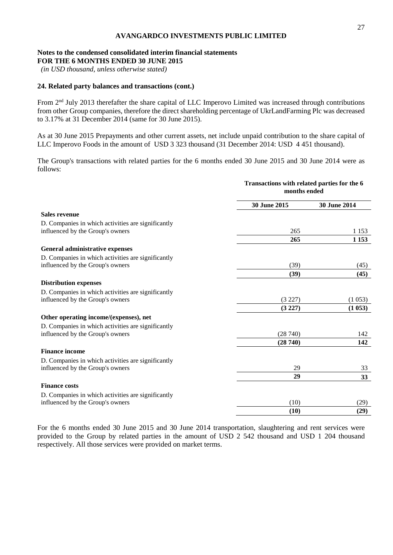## **Notes to the condensed consolidated interim financial statements**

**FOR THE 6 MONTHS ENDED 30 JUNE 2015**

*(in USD thousand, unless otherwise stated)*

#### **24. Related party balances and transactions (cont.)**

From  $2<sup>nd</sup>$  July 2013 therefafter the share capital of LLC Imperovo Limited was increased through contributions from other Group companies, therefore the direct shareholding percentage of UkrLandFarming Plc was decreased to 3.17% at 31 December 2014 (same for 30 June 2015).

As at 30 June 2015 Prepayments and other current assets, net include unpaid contribution to the share capital of LLC Imperovo Foods in the amount of USD 3 323 thousand (31 December 2014: USD 4 451 thousand).

The Group's transactions with related parties for the 6 months ended 30 June 2015 and 30 June 2014 were as follows:

|                                                    |              | Transactions with related parties for the 6<br>months ended |  |  |
|----------------------------------------------------|--------------|-------------------------------------------------------------|--|--|
|                                                    | 30 June 2015 | 30 June 2014                                                |  |  |
| <b>Sales revenue</b>                               |              |                                                             |  |  |
| D. Companies in which activities are significantly |              |                                                             |  |  |
| influenced by the Group's owners                   | 265          | 1 1 5 3                                                     |  |  |
|                                                    | 265          | 1 1 5 3                                                     |  |  |
| General administrative expenses                    |              |                                                             |  |  |
| D. Companies in which activities are significantly |              |                                                             |  |  |
| influenced by the Group's owners                   | (39)         | (45)                                                        |  |  |
|                                                    | (39)         | (45)                                                        |  |  |
| <b>Distribution expenses</b>                       |              |                                                             |  |  |
| D. Companies in which activities are significantly |              |                                                             |  |  |
| influenced by the Group's owners                   | (3 227)      | (1053)                                                      |  |  |
|                                                    | (3 227)      | (1053)                                                      |  |  |
| Other operating income/(expenses), net             |              |                                                             |  |  |
| D. Companies in which activities are significantly |              |                                                             |  |  |
| influenced by the Group's owners                   | (28740)      | 142                                                         |  |  |
|                                                    | (28740)      | 142                                                         |  |  |
| <b>Finance income</b>                              |              |                                                             |  |  |
| D. Companies in which activities are significantly |              |                                                             |  |  |
| influenced by the Group's owners                   | 29           | 33                                                          |  |  |
|                                                    | 29           | 33                                                          |  |  |
| <b>Finance costs</b>                               |              |                                                             |  |  |
| D. Companies in which activities are significantly |              |                                                             |  |  |
| influenced by the Group's owners                   | (10)         | (29)                                                        |  |  |
|                                                    | (10)         | (29)                                                        |  |  |
|                                                    |              |                                                             |  |  |

For the 6 months ended 30 June 2015 and 30 June 2014 transportation, slaughtering and rent services were provided to the Group by related parties in the amount of USD 2 542 thousand and USD 1 204 thousand respectively. All those services were provided on market terms.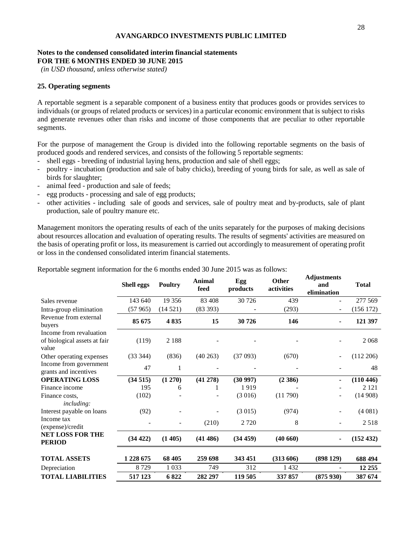#### **Notes to the condensed consolidated interim financial statements FOR THE 6 MONTHS ENDED 30 JUNE 2015**

*(in USD thousand, unless otherwise stated)*

#### **25. Operating segments**

A reportable segment is a separable component of a business entity that produces goods or provides services to individuals (or groups of related products or services) in a particular economic environment that is subject to risks and generate revenues other than risks and income of those components that are peculiar to other reportable segments.

For the purpose of management the Group is divided into the following reportable segments on the basis of produced goods and rendered services, and consists of the following 5 reportable segments:

- shell eggs breeding of industrial laying hens, production and sale of shell eggs;
- poultry incubation (production and sale of baby chicks), breeding of young birds for sale, as well as sale of birds for slaughter;
- animal feed production and sale of feeds;
- egg products processing and sale of egg products;
- other activities including sale of goods and services, sale of poultry meat and by-products, sale of plant production, sale of poultry manure etc.

Management monitors the operating results of each of the units separately for the purposes of making decisions about resources allocation and evaluation of operating results. The results of segments' activities are measured on the basis of operating profit or loss, its measurement is carried out accordingly to measurement of operating profit or loss in the condensed consolidated interim financial statements.

|                                                                  | <b>Shell eggs</b> | <b>Poultry</b> | <b>Animal</b><br>feed | Egg<br>products | Other<br>activities | majustments<br>and<br>elimination | <b>Total</b> |
|------------------------------------------------------------------|-------------------|----------------|-----------------------|-----------------|---------------------|-----------------------------------|--------------|
| Sales revenue                                                    | 143 640           | 19 35 6        | 83 408                | 30 726          | 439                 |                                   | 277 569      |
| Intra-group elimination                                          | (57965)           | (14521)        | (83 393)              |                 | (293)               | $\overline{\phantom{a}}$          | (156 172)    |
| Revenue from external<br>buyers                                  | 85 675            | 4835           | 15                    | 30726           | 146                 | ۰                                 | 121 397      |
| Income from revaluation<br>of biological assets at fair<br>value | (119)             | 2 1 8 8        |                       |                 |                     |                                   | 2068         |
| Other operating expenses                                         | (33 344)          | (836)          | $(40\ 263)$           | (37093)         | (670)               |                                   | (112 206)    |
| Income from government<br>grants and incentives                  | 47                | 1              |                       |                 |                     |                                   | 48           |
| <b>OPERATING LOSS</b>                                            | (34515)           | (1 270)        | (41 278)              | (30997)         | (2386)              |                                   | (110 446)    |
| Finance income                                                   | 195               | 6              |                       | 1919            |                     |                                   | 2 1 2 1      |
| Finance costs,<br><i>including:</i>                              | (102)             |                |                       | (3016)          | (11790)             |                                   | (14908)      |
| Interest payable on loans                                        | (92)              |                |                       | (3015)          | (974)               |                                   | (4081)       |
| Income tax<br>(expense)/credit                                   |                   |                | (210)                 | 2720            | 8                   |                                   | 2518         |
| <b>NET LOSS FOR THE</b><br><b>PERIOD</b>                         | (34 422)          | (1405)         | (41486)               | (34 459)        | (40660)             |                                   | (152 432)    |
| <b>TOTAL ASSETS</b>                                              | 1 228 675         | 68 405         | 259 698               | 343 451         | (313606)            | (898129)                          | 688 494      |
| Depreciation                                                     | 8729              | 1 0 3 3        | 749                   | 312             | 1432                |                                   | 12 25 5      |
| <b>TOTAL LIABILITIES</b>                                         | 517 123           | 6822           | 282 297               | 119 505         | 337 857             | (875930)                          | 387 674      |

Reportable segment information for the 6 months ended 30 June 2015 was as follows:

**Adjustments**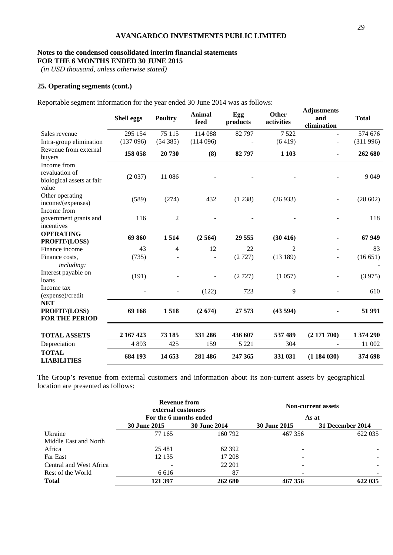#### **Notes to the condensed consolidated interim financial statements FOR THE 6 MONTHS ENDED 30 JUNE 2015**

*(in USD thousand, unless otherwise stated)*

#### **25. Operating segments (cont.)**

Reportable segment information for the year ended 30 June 2014 was as follows:

|                                                                     | <b>Shell eggs</b> | <b>Poultry</b> | <b>Animal</b><br>feed | Egg<br>products | <b>Other</b><br>activities | <b>Adjustments</b><br>and<br>elimination | <b>Total</b> |
|---------------------------------------------------------------------|-------------------|----------------|-----------------------|-----------------|----------------------------|------------------------------------------|--------------|
| Sales revenue                                                       | 295 154           | 75 115         | 114 088               | 82 797          | 7522                       |                                          | 574 676      |
| Intra-group elimination                                             | (137096)          | (54385)        | (114096)              |                 | (6419)                     |                                          | (311996)     |
| Revenue from external<br>buyers                                     | 158 058           | 20 730         | (8)                   | 82797           | 1 1 0 3                    |                                          | 262 680      |
| Income from<br>revaluation of<br>biological assets at fair<br>value | (2037)            | 11 086         |                       |                 |                            |                                          | 9 0 4 9      |
| Other operating<br>income/(expenses)<br>Income from                 | (589)             | (274)          | 432                   | (1238)          | (26933)                    |                                          | (28602)      |
| government grants and<br>incentives                                 | 116               | 2              |                       |                 |                            |                                          | 118          |
| <b>OPERATING</b><br>PROFIT/(LOSS)                                   | 69860             | 1514           | (2564)                | 29 555          | (30 416)                   |                                          | 67949        |
| Finance income                                                      | 43                | $\overline{4}$ | 12                    | 22              | $\overline{2}$             |                                          | 83           |
| Finance costs,                                                      | (735)             |                |                       | (2727)          | (13189)                    |                                          | (16651)      |
| <i>including:</i><br>Interest payable on<br>loans<br>Income tax     | (191)             |                |                       | (2727)          | (1057)                     |                                          | (3975)       |
| (expense)/credit                                                    |                   |                | (122)                 | 723             | 9                          |                                          | 610          |
| <b>NET</b><br>PROFIT/(LOSS)<br><b>FOR THE PERIOD</b>                | 69 168            | 1518           | (2674)                | 27 573          | (43594)                    |                                          | 51 991       |
| <b>TOTAL ASSETS</b>                                                 | 2 167 423         | 73 185         | 331 286               | 436 607         | 537 489                    | (2171700)                                | 1 374 290    |
| Depreciation                                                        | 4893              | 425            | 159                   | 5 2 2 1         | 304                        |                                          | 11 002       |
| <b>TOTAL</b><br><b>LIABILITIES</b>                                  | 684 193           | 14 653         | 281 486               | 247 365         | 331 031                    | (1184030)                                | 374 698      |

The Group's revenue from external customers and information about its non-current assets by geographical location are presented as follows:

|                         | Revenue from<br>external customers |              | <b>Non-current assets</b> |                  |  |  |
|-------------------------|------------------------------------|--------------|---------------------------|------------------|--|--|
|                         | For the 6 months ended             |              |                           | As at            |  |  |
|                         | <b>30 June 2015</b>                | 30 June 2014 | 30 June 2015              | 31 December 2014 |  |  |
| Ukraine                 | 77 165                             | 160 792      | 467 356                   | 622 035          |  |  |
| Middle East and North   |                                    |              |                           |                  |  |  |
| Africa                  | 25 4 81                            | 62 3 92      | $\overline{\phantom{0}}$  |                  |  |  |
| Far East                | 12 135                             | 17 208       | $\overline{\phantom{0}}$  |                  |  |  |
| Central and West Africa | -                                  | 22 201       | -                         |                  |  |  |
| Rest of the World       | 6 6 1 6                            | 87           |                           |                  |  |  |
| <b>Total</b>            | 121 397                            | 262 680      | 467 356                   | 622 035          |  |  |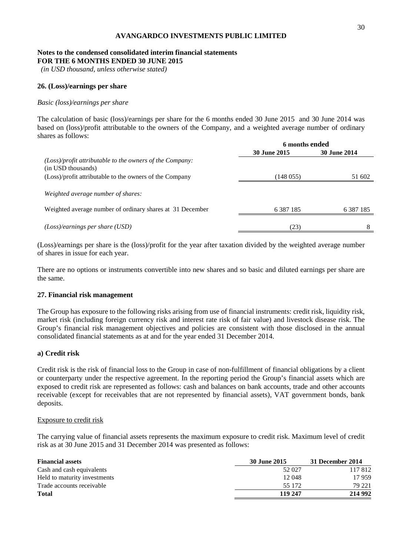#### **Notes to the condensed consolidated interim financial statements FOR THE 6 MONTHS ENDED 30 JUNE 2015**

*(in USD thousand, unless otherwise stated)*

#### **26. (Loss)/earnings per share**

#### *Basic (loss)/earnings per share*

The calculation of basic (loss)/earnings per share for the 6 months ended 30 June 2015 and 30 June 2014 was based on (loss)/profit attributable to the owners of the Company, and a weighted average number of ordinary shares as follows:

|                                                                                  | 6 months ended      |                     |  |
|----------------------------------------------------------------------------------|---------------------|---------------------|--|
|                                                                                  | <b>30 June 2015</b> | <b>30 June 2014</b> |  |
| $(Loss)/profit$ attributable to the owners of the Company:<br>(in USD thousands) |                     |                     |  |
| (Loss)/profit attributable to the owners of the Company                          | (148055)            | 51 602              |  |
| Weighted average number of shares:                                               |                     |                     |  |
| Weighted average number of ordinary shares at 31 December                        | 6 3 8 7 1 8 5       | 6 3 8 7 1 8 5       |  |
| $(Loss)/earnings$ per share (USD)                                                | (23)                | 8                   |  |

(Loss)/earnings per share is the (loss)/profit for the year after taxation divided by the weighted average number of shares in issue for each year.

There are no options or instruments convertible into new shares and so basic and diluted earnings per share are the same.

#### **27. Financial risk management**

The Group has exposure to the following risks arising from use of financial instruments: credit risk, liquidity risk, market risk (including foreign currency risk and interest rate risk of fair value) and livestock disease risk. The Group's financial risk management objectives and policies are consistent with those disclosed in the annual consolidated financial statements as at and for the year ended 31 December 2014.

#### **a) Credit risk**

Credit risk is the risk of financial loss to the Group in case of non-fulfillment of financial obligations by a client or counterparty under the respective agreement. In the reporting period the Group's financial assets which are exposed to credit risk are represented as follows: cash and balances on bank accounts, trade and other accounts receivable (except for receivables that are not represented by financial assets), VAT government bonds, bank deposits.

#### Exposure to credit risk

The carrying value of financial assets represents the maximum exposure to credit risk. Maximum level of credit risk as at 30 June 2015 and 31 December 2014 was presented as follows:

| <b>Financial assets</b>      | 30 June 2015 | 31 December 2014 |
|------------------------------|--------------|------------------|
| Cash and cash equivalents    | 52 027       | 117812           |
| Held to maturity investments | 12 048       | 17959            |
| Trade accounts receivable    | 55 172       | 79 221           |
| <b>Total</b>                 | 119 247      | 214 992          |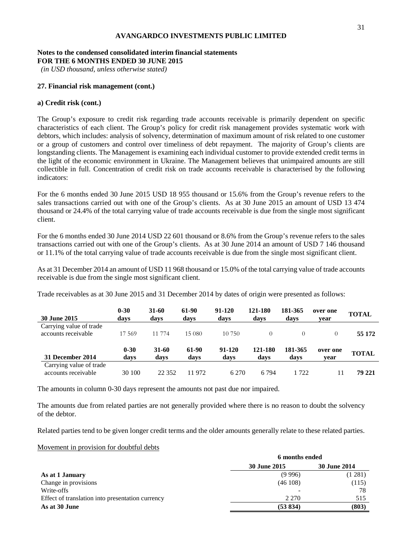#### **Notes to the condensed consolidated interim financial statements FOR THE 6 MONTHS ENDED 30 JUNE 2015**

*(in USD thousand, unless otherwise stated)*

#### **27. Financial risk management (cont.)**

#### **a) Credit risk (cont.)**

The Group's exposure to credit risk regarding trade accounts receivable is primarily dependent on specific characteristics of each client. The Group's policy for credit risk management provides systematic work with debtors, which includes: analysis of solvency, determination of maximum amount of risk related to one customer or a group of customers and control over timeliness of debt repayment. The majority of Group's clients are longstanding clients. The Management is examining each individual customer to provide extended credit terms in the light of the economic environment in Ukraine. The Management believes that unimpaired amounts are still collectible in full. Concentration of credit risk on trade accounts receivable is characterised by the following indicators:

For the 6 months ended 30 June 2015 USD 18 955 thousand or 15.6% from the Group's revenue refers to the sales transactions carried out with one of the Group's clients. As at 30 June 2015 an amount of USD 13 474 thousand or 24.4% of the total carrying value of trade accounts receivable is due from the single most significant client.

For the 6 months ended 30 June 2014 USD 22 601 thousand or 8.6% from the Group's revenue refers to the sales transactions carried out with one of the Group's clients. As at 30 June 2014 an amount of USD 7 146 thousand or 11.1% of the total carrying value of trade accounts receivable is due from the single most significant client.

As at 31 December 2014 an amount of USD 11 968 thousand or 15.0% of the total carrying value of trade accounts receivable is due from the single most significant client.

Trade receivables as at 30 June 2015 and 31 December 2014 by dates of origin were presented as follows:

| <b>30 June 2015</b>                            | $0 - 30$<br>days | 31-60<br>days | 61-90<br>days | 91-120<br>days | 121-180<br>days | 181-365<br>days | over one<br>vear | <b>TOTAL</b> |
|------------------------------------------------|------------------|---------------|---------------|----------------|-----------------|-----------------|------------------|--------------|
| Carrying value of trade<br>accounts receivable | 17 569           | 11 774        | 15 080        | 10.750         | $\Omega$        |                 | $\theta$         | 55 172       |
| 31 December 2014                               | $0 - 30$<br>davs | 31-60<br>davs | 61-90<br>davs | 91-120<br>days | 121-180<br>days | 181-365<br>days | over one<br>vear | <b>TOTAL</b> |
| Carrying value of trade<br>accounts receivable | 30 100           | 22 3 52       | 11 972        | 6 2 7 0        | 6 7 9 4         | 1722            |                  | 79 221       |

The amounts in column 0-30 days represent the amounts not past due nor impaired.

The amounts due from related parties are not generally provided where there is no reason to doubt the solvency of the debtor.

Related parties tend to be given longer credit terms and the older amounts generally relate to these related parties.

#### Movement in provision for doubtful debts

|                                                  | 6 months ended |                     |  |
|--------------------------------------------------|----------------|---------------------|--|
|                                                  | 30 June 2015   | <b>30 June 2014</b> |  |
| As at 1 January                                  | (9996)         | (1 281)             |  |
| Change in provisions                             | (46108)        | (115)               |  |
| Write-offs                                       |                | 78                  |  |
| Effect of translation into presentation currency | 2 2 7 0        | 515                 |  |
| As at 30 June                                    | (53 834)       | (803)               |  |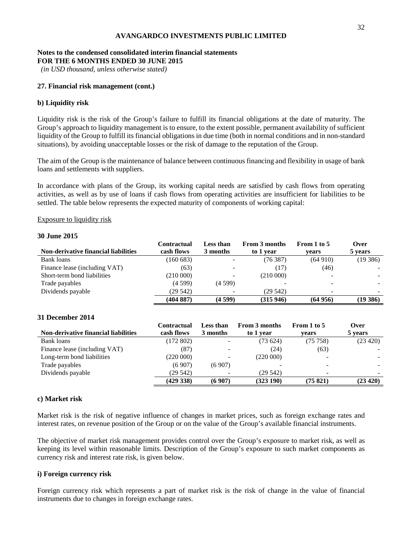#### **Notes to the condensed consolidated interim financial statements FOR THE 6 MONTHS ENDED 30 JUNE 2015**

*(in USD thousand, unless otherwise stated)*

#### **27. Financial risk management (cont.)**

#### **b) Liquidity risk**

Liquidity risk is the risk of the Group's failure to fulfill its financial obligations at the date of maturity. The Group's approach to liquidity management is to ensure, to the extent possible, permanent availability of sufficient liquidity of the Group to fulfill its financial obligations in due time (both in normal conditions and in non-standard situations), by avoiding unacceptable losses or the risk of damage to the reputation of the Group.

The aim of the Group is the maintenance of balance between continuous financing and flexibility in usage of bank loans and settlements with suppliers.

In accordance with plans of the Group, its working capital needs are satisfied by cash flows from operating activities, as well as by use of loans if cash flows from operating activities are insufficient for liabilities to be settled. The table below represents the expected maturity of components of working capital:

#### Exposure to liquidity risk

#### **30 June 2015**

|                                             | Contractual | <b>Less than</b>         | From 3 months | From 1 to 5 | Over     |
|---------------------------------------------|-------------|--------------------------|---------------|-------------|----------|
| <b>Non-derivative financial liabilities</b> | cash flows  | 3 months                 | to 1 year     | vears       | 5 years  |
| Bank loans                                  | (160683)    | -                        | (76387)       | (64910)     | (19386)  |
| Finance lease (including VAT)               | (63)        | $\overline{\phantom{a}}$ | (17)          | (46)        |          |
| Short-term bond liabilities                 | (210000)    | $\overline{\phantom{0}}$ | (210000)      |             |          |
| Trade payables                              | (4599)      | (4599)                   |               |             |          |
| Dividends payable                           | (29542)     | ÷                        | (29542)       |             |          |
|                                             | (404 887)   | (4 599)                  | (315946)      | (64956)     | (19 386) |

#### **31 December 2014**

|                                             | Contractual | Less than                | <b>From 3 months</b> | From 1 to 5 | Over     |
|---------------------------------------------|-------------|--------------------------|----------------------|-------------|----------|
| <b>Non-derivative financial liabilities</b> | cash flows  | 3 months                 | to 1 year            | vears       | 5 years  |
| <b>Bank</b> loans                           | (172802)    | $\overline{\phantom{0}}$ | (73624)              | (75 758)    | (23 420) |
| Finance lease (including VAT)               | (87)        | $\overline{\phantom{a}}$ | (24)                 | (63)        |          |
| Long-term bond liabilities                  | (220000)    |                          | (220000)             |             |          |
| Trade payables                              | (6907)      | (6907)                   |                      |             |          |
| Dividends payable                           | (29542)     |                          | (29542)              |             |          |
|                                             | (429338)    | (6907)                   | (323190)             | (75821)     | (23 420) |

#### **c) Market risk**

Market risk is the risk of negative influence of changes in market prices, such as foreign exchange rates and interest rates, on revenue position of the Group or on the value of the Group's available financial instruments.

The objective of market risk management provides control over the Group's exposure to market risk, as well as keeping its level within reasonable limits. Description of the Group's exposure to such market components as currency risk and interest rate risk, is given below.

#### **i) Foreign currency risk**

Foreign currency risk which represents a part of market risk is the risk of change in the value of financial instruments due to changes in foreign exchange rates.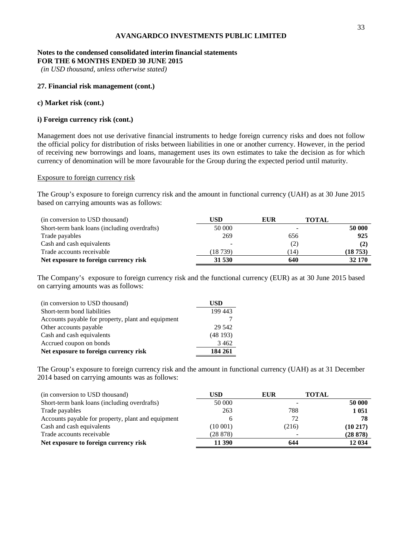#### **Notes to the condensed consolidated interim financial statements FOR THE 6 MONTHS ENDED 30 JUNE 2015**

*(in USD thousand, unless otherwise stated)*

#### **27. Financial risk management (cont.)**

#### **c) Market risk (cont.)**

#### **i) Foreign currency risk (cont.)**

Management does not use derivative financial instruments to hedge foreign currency risks and does not follow the official policy for distribution of risks between liabilities in one or another currency. However, in the period of receiving new borrowings and loans, management uses its own estimates to take the decision as for which currency of denomination will be more favourable for the Group during the expected period until maturity.

#### Exposure to foreign currency risk

The Group's exposure to foreign currency risk and the amount in functional currency (UAH) as at 30 June 2015 based on carrying amounts was as follows:

| (in conversion to USD thousand)              | USD      | <b>EUR</b> | <b>TOTAL</b> |
|----------------------------------------------|----------|------------|--------------|
| Short-term bank loans (including overdrafts) | 50 000   |            | 50 000       |
| Trade payables                               | 269      | 656        | 925          |
| Cash and cash equivalents                    |          | (2)        | (2)          |
| Trade accounts receivable                    | (18 739) | (14)       | (18753)      |
| Net exposure to foreign currency risk        | 31 530   | 640        | 32 170       |

The Company's exposure to foreign currency risk and the functional currency (EUR) as at 30 June 2015 based on carrying amounts was as follows:

| (in conversion to USD thousand)                    | USD     |
|----------------------------------------------------|---------|
| Short-term bond liabilities                        | 199 443 |
| Accounts payable for property, plant and equipment |         |
| Other accounts payable                             | 29 542  |
| Cash and cash equivalents                          | (48193) |
| Accrued coupon on bonds                            | 3 4 6 2 |
| Net exposure to foreign currency risk              | 184 261 |

The Group's exposure to foreign currency risk and the amount in functional currency (UAH) as at 31 December 2014 based on carrying amounts was as follows:

| (in conversion to USD thousand)                    | USD      | <b>EUR</b> | <b>TOTAL</b> |
|----------------------------------------------------|----------|------------|--------------|
| Short-term bank loans (including overdrafts)       | 50 000   |            | 50 000       |
| Trade payables                                     | 263      | 788        | 1 0 5 1      |
| Accounts payable for property, plant and equipment |          | 72         | 78           |
| Cash and cash equivalents                          | (10 001) | (216)      | $(10\ 217)$  |
| Trade accounts receivable                          | (28878)  |            | (28 878)     |
| Net exposure to foreign currency risk              | 11 390   | 644        | 12 034       |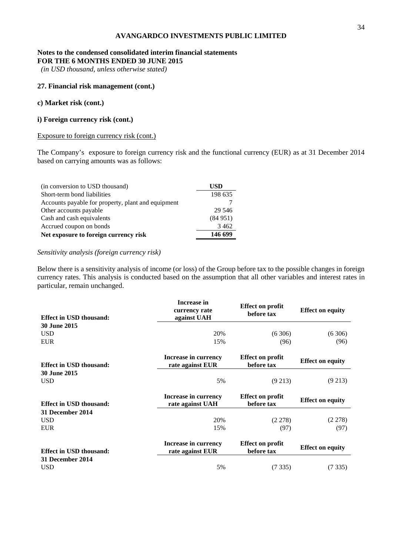#### **Notes to the condensed consolidated interim financial statements FOR THE 6 MONTHS ENDED 30 JUNE 2015**

*(in USD thousand, unless otherwise stated)*

#### **27. Financial risk management (cont.)**

#### **c) Market risk (cont.)**

#### **i) Foreign currency risk (cont.)**

#### Exposure to foreign currency risk (cont.)

The Company's exposure to foreign currency risk and the functional currency (EUR) as at 31 December 2014 based on carrying amounts was as follows:

| (in conversion to USD thousand)                    | <b>USD</b> |
|----------------------------------------------------|------------|
| Short-term bond liabilities                        | 198 635    |
| Accounts payable for property, plant and equipment |            |
| Other accounts payable                             | 29 546     |
| Cash and cash equivalents                          | (84951)    |
| Accrued coupon on bonds                            | 3 4 6 2    |
| Net exposure to foreign currency risk              | 146 699    |

#### *Sensitivity analysis (foreign currency risk)*

Below there is a sensitivity analysis of income (or loss) of the Group before tax to the possible changes in foreign currency rates. This analysis is conducted based on the assumption that all other variables and interest rates in particular, remain unchanged.

| <b>Effect in USD thousand:</b> | Increase in<br>currency rate<br>against UAH | <b>Effect on profit</b><br>before tax | <b>Effect on equity</b> |
|--------------------------------|---------------------------------------------|---------------------------------------|-------------------------|
| <b>30 June 2015</b>            |                                             |                                       |                         |
| <b>USD</b>                     | 20%                                         | (6306)                                | (6306)                  |
| <b>EUR</b>                     | 15%                                         | (96)                                  | (96)                    |
| <b>Effect in USD thousand:</b> | Increase in currency<br>rate against EUR    | <b>Effect on profit</b><br>before tax | <b>Effect on equity</b> |
| <b>30 June 2015</b>            |                                             |                                       |                         |
| <b>USD</b>                     | 5%                                          | $(9\,213)$                            | $(9\,213)$              |
| <b>Effect in USD thousand:</b> | Increase in currency<br>rate against UAH    | <b>Effect on profit</b><br>before tax | <b>Effect on equity</b> |
| 31 December 2014               |                                             |                                       |                         |
| <b>USD</b>                     | 20%                                         | (2.278)                               | (2.278)                 |
| <b>EUR</b>                     | 15%                                         | (97)                                  | (97)                    |
| <b>Effect in USD thousand:</b> | Increase in currency<br>rate against EUR    | <b>Effect on profit</b><br>before tax | <b>Effect on equity</b> |
| 31 December 2014               |                                             |                                       |                         |
| <b>USD</b>                     | 5%                                          | (7335)                                | (7335)                  |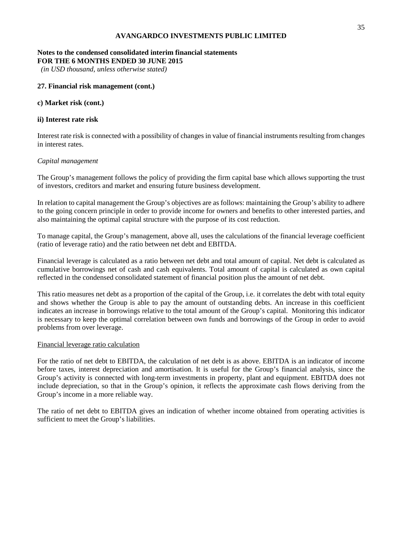#### **Notes to the condensed consolidated interim financial statements FOR THE 6 MONTHS ENDED 30 JUNE 2015**

*(in USD thousand, unless otherwise stated)*

#### **27. Financial risk management (cont.)**

#### **c) Market risk (cont.)**

#### **ii) Interest rate risk**

Interest rate risk is connected with a possibility of changes in value of financial instruments resulting from changes in interest rates.

#### *Capital management*

The Group's management follows the policy of providing the firm capital base which allows supporting the trust of investors, creditors and market and ensuring future business development.

In relation to capital management the Group's objectives are as follows: maintaining the Group's ability to adhere to the going concern principle in order to provide income for owners and benefits to other interested parties, and also maintaining the optimal capital structure with the purpose of its cost reduction.

To manage capital, the Group's management, above all, uses the calculations of the financial leverage coefficient (ratio of leverage ratio) and the ratio between net debt and EBITDA.

Financial leverage is calculated as a ratio between net debt and total amount of capital. Net debt is calculated as cumulative borrowings net of cash and cash equivalents. Total amount of capital is calculated as own capital reflected in the condensed consolidated statement of financial position plus the amount of net debt.

This ratio measures net debt as a proportion of the capital of the Group, i.e. it correlates the debt with total equity and shows whether the Group is able to pay the amount of outstanding debts. An increase in this coefficient indicates an increase in borrowings relative to the total amount of the Group's capital. Monitoring this indicator is necessary to keep the optimal correlation between own funds and borrowings of the Group in order to avoid problems from over leverage.

#### Financial leverage ratio calculation

For the ratio of net debt to EBITDA, the calculation of net debt is as above. EBITDA is an indicator of income before taxes, interest depreciation and amortisation. It is useful for the Group's financial analysis, since the Group's activity is connected with long-term investments in property, plant and equipment. EBITDA does not include depreciation, so that in the Group's opinion, it reflects the approximate cash flows deriving from the Group's income in a more reliable way.

The ratio of net debt to EBITDA gives an indication of whether income obtained from operating activities is sufficient to meet the Group's liabilities.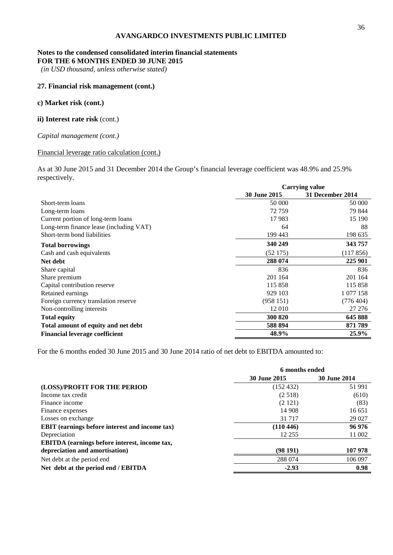#### **Notes to the condensed consolidated interim financial statements FOR THE 6 MONTHS ENDED 30 JUNE 2015**

*(in USD thousand, unless otherwise stated)*

#### **27. Financial risk management (cont.)**

#### **c) Market risk (cont.)**

#### **ii) Interest rate risk** (cont.)

#### *Capital management (cont.)*

#### Financial leverage ratio calculation (cont.)

As at 30 June 2015 and 31 December 2014 the Group's financial leverage coefficient was 48.9% and 25.9% respectively.

|                                         | <b>Carrying value</b> |                  |  |
|-----------------------------------------|-----------------------|------------------|--|
|                                         | <b>30 June 2015</b>   | 31 December 2014 |  |
| Short-term loans                        | 50 000                | 50 000           |  |
| Long-term loans                         | 72 759                | 79 844           |  |
| Current portion of long-term loans      | 17983                 | 15 190           |  |
| Long-term finance lease (including VAT) | 64                    | 88               |  |
| Short-term bond liabilities             | 199 443               | 198 635          |  |
| <b>Total borrowings</b>                 | 340 249               | 343 757          |  |
| Cash and cash equivalents               | (52175)               | (117856)         |  |
| Net debt                                | 288 074               | 225 901          |  |
| Share capital                           | 836                   | 836              |  |
| Share premium                           | 201 164               | 201 164          |  |
| Capital contribution reserve            | 115 858               | 115 858          |  |
| Retained earnings                       | 929 103               | 1 077 158        |  |
| Foreign currency translation reserve    | (958151)              | (776404)         |  |
| Non-controlling interests               | 12 010                | 27 27 6          |  |
| <b>Total equity</b>                     | 300 820               | 645 888          |  |
| Total amount of equity and net debt     | 588 894               | 871789           |  |
| <b>Financial leverage coefficient</b>   | 48.9%                 | 25.9%            |  |

For the 6 months ended 30 June 2015 and 30 June 2014 ratio of net debt to EBITDA amounted to:

|                                                       | 6 months ended      |                     |  |
|-------------------------------------------------------|---------------------|---------------------|--|
|                                                       | <b>30 June 2015</b> | <b>30 June 2014</b> |  |
| (LOSS)/PROFIT FOR THE PERIOD                          | (152 432)           | 51 991              |  |
| Income tax credit                                     | (2.518)             | (610)               |  |
| Finance income                                        | (2121)              | (83)                |  |
| Finance expenses                                      | 14 908              | 16 651              |  |
| Losses on exchange                                    | 31 7 17             | 29 0 27             |  |
| <b>EBIT</b> (earnings before interest and income tax) | (110 446)           | 96 976              |  |
| Depreciation                                          | 12 255              | 11 002              |  |
| <b>EBITDA</b> (earnings before interest, income tax,  |                     |                     |  |
| depreciation and amortisation)                        | (98191)             | 107 978             |  |
| Net debt at the period end                            | 288 074             | 106 097             |  |
| Net debt at the period end / EBITDA                   | $-2.93$             | 0.98                |  |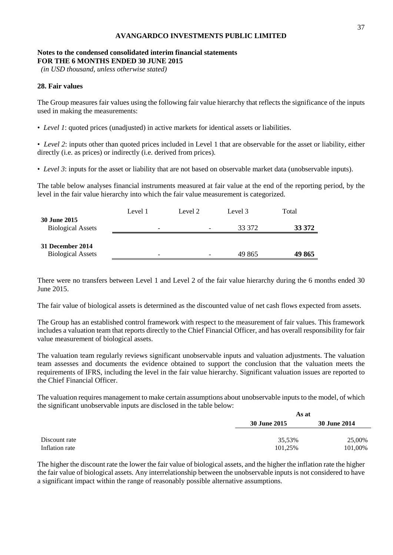#### **Notes to the condensed consolidated interim financial statements FOR THE 6 MONTHS ENDED 30 JUNE 2015**

*(in USD thousand, unless otherwise stated)*

#### **28. Fair values**

The Group measures fair values using the following fair value hierarchy that reflects the significance of the inputs used in making the measurements:

• *Level 1*: quoted prices (unadjusted) in active markets for identical assets or liabilities.

• *Level 2*: inputs other than quoted prices included in Level 1 that are observable for the asset or liability, either directly (i.e. as prices) or indirectly (i.e. derived from prices).

• *Level 3*: inputs for the asset or liability that are not based on observable market data (unobservable inputs).

The table below analyses financial instruments measured at fair value at the end of the reporting period, by the level in the fair value hierarchy into which the fair value measurement is categorized.

|                                                 | Level 1 | Level 2                  | Level 3 | Total  |
|-------------------------------------------------|---------|--------------------------|---------|--------|
| <b>30 June 2015</b><br><b>Biological Assets</b> | -       | $\overline{\phantom{0}}$ | 33 372  | 33 372 |
| 31 December 2014<br><b>Biological Assets</b>    | -       | -                        | 49 865  | 49 865 |

There were no transfers between Level 1 and Level 2 of the fair value hierarchy during the 6 months ended 30 June 2015.

The fair value of biological assets is determined as the discounted value of net cash flows expected from assets.

The Group has an established control framework with respect to the measurement of fair values. This framework includes a valuation team that reports directly to the Chief Financial Officer, and has overall responsibility for fair value measurement of biological assets.

The valuation team regularly reviews significant unobservable inputs and valuation adjustments. The valuation team assesses and documents the evidence obtained to support the conclusion that the valuation meets the requirements of IFRS, including the level in the fair value hierarchy. Significant valuation issues are reported to the Chief Financial Officer.

The valuation requires management to make certain assumptions about unobservable inputs to the model, of which the significant unobservable inputs are disclosed in the table below:

|                                 | As at             |                     |  |
|---------------------------------|-------------------|---------------------|--|
|                                 | 30 June 2015      | <b>30 June 2014</b> |  |
| Discount rate<br>Inflation rate | 35,53%<br>101,25% | 25,00%<br>101,00%   |  |

The higher the discount rate the lower the fair value of biological assets, and the higher the inflation rate the higher the fair value of biological assets. Any interrelationship between the unobservable inputs is not considered to have a significant impact within the range of reasonably possible alternative assumptions.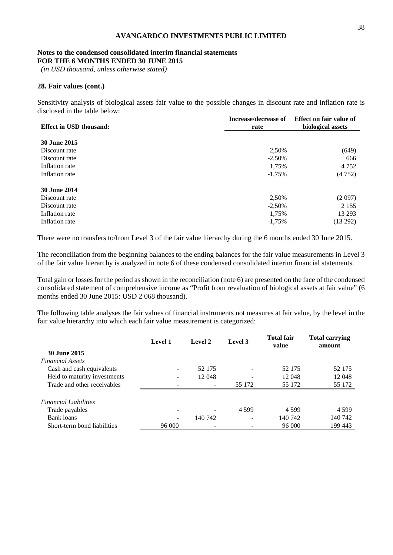#### **Notes to the condensed consolidated interim financial statements FOR THE 6 MONTHS ENDED 30 JUNE 2015**

*(in USD thousand, unless otherwise stated)*

#### **28. Fair values (cont.)**

Sensitivity analysis of biological assets fair value to the possible changes in discount rate and inflation rate is disclosed in the table below:

| <b>Effect in USD thousand:</b> | Increase/decrease of<br>rate | Effect on fair value of<br>biological assets |  |
|--------------------------------|------------------------------|----------------------------------------------|--|
| 30 June 2015                   |                              |                                              |  |
| Discount rate                  | 2,50%                        | (649)                                        |  |
| Discount rate                  | $-2,50%$                     | 666                                          |  |
| Inflation rate                 | 1,75%                        | 4 7 5 2                                      |  |
| Inflation rate                 | $-1,75%$                     | (4752)                                       |  |
| 30 June 2014                   |                              |                                              |  |
| Discount rate                  | 2,50%                        | (2.097)                                      |  |
| Discount rate                  | $-2,50%$                     | 2 1 5 5                                      |  |
| Inflation rate                 | 1,75%                        | 13 29 3                                      |  |
| Inflation rate                 | $-1,75%$                     | (13 292)                                     |  |

There were no transfers to/from Level 3 of the fair value hierarchy during the 6 months ended 30 June 2015.

The reconciliation from the beginning balances to the ending balances for the fair value measurements in Level 3 of the fair value hierarchy is analyzed in note 6 of these condensed consolidated interim financial statements.

Total gain or losses for the period as shown in the reconciliation (note 6) are presented on the face of the condensed consolidated statement of comprehensive income as "Profit from revaluation of biological assets at fair value" (6 months ended 30 June 2015: USD 2 068 thousand).

The following table analyses the fair values of financial instruments not measures at fair value, by the level in the fair value hierarchy into which each fair value measurement is categorized:

|                              | <b>Level 1</b> | Level 2 | Level 3 | <b>Total fair</b><br>value | <b>Total carrying</b><br>amount |
|------------------------------|----------------|---------|---------|----------------------------|---------------------------------|
| 30 June 2015                 |                |         |         |                            |                                 |
| <b>Financial Assets</b>      |                |         |         |                            |                                 |
| Cash and cash equivalents    |                | 52 175  |         | 52 175                     | 52 175                          |
| Held to maturity investments |                | 12048   |         | 12 048                     | 12 048                          |
| Trade and other receivables  |                |         | 55 172  | 55 172                     | 55 172                          |
| <b>Financial Liabilities</b> |                |         |         |                            |                                 |
| Trade payables               | -              |         | 4 5 9 9 | 4 5 9 9                    | 4 5 9 9                         |
| Bank loans                   | -              | 140 742 |         | 140 742                    | 140 742                         |
| Short-term bond liabilities  | 96 000         | -       |         | 96 000                     | 199 443                         |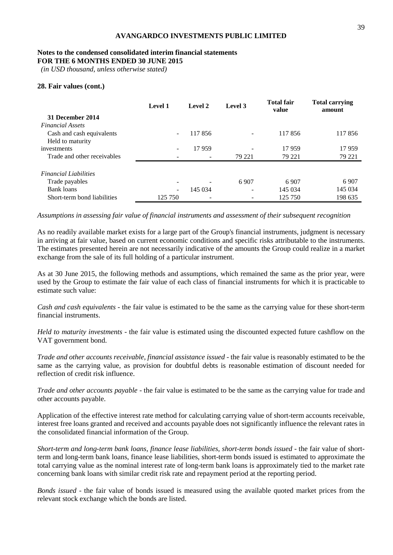#### **Notes to the condensed consolidated interim financial statements FOR THE 6 MONTHS ENDED 30 JUNE 2015**

*(in USD thousand, unless otherwise stated)*

#### **28. Fair values (cont.)**

|                              | Level 1 | Level 2 | Level 3 | <b>Total fair</b><br>value | <b>Total carrying</b><br>amount |
|------------------------------|---------|---------|---------|----------------------------|---------------------------------|
| 31 December 2014             |         |         |         |                            |                                 |
| <b>Financial Assets</b>      |         |         |         |                            |                                 |
| Cash and cash equivalents    |         | 117856  |         | 117856                     | 117856                          |
| Held to maturity             |         |         |         |                            |                                 |
| investments                  |         | 17959   | ۰       | 17959                      | 17959                           |
| Trade and other receivables  |         |         | 79 221  | 79 221                     | 79 221                          |
| <b>Financial Liabilities</b> |         |         |         |                            |                                 |
|                              |         |         |         |                            |                                 |
| Trade payables               |         |         | 6907    | 6907                       | 6907                            |
| Bank loans                   |         | 145 034 | -       | 145 034                    | 145 034                         |
| Short-term bond liabilities  | 125 750 |         |         | 125 750                    | 198 635                         |

*Assumptions in assessing fair value of financial instruments and assessment of their subsequent recognition*

As no readily available market exists for a large part of the Group's financial instruments, judgment is necessary in arriving at fair value, based on current economic conditions and specific risks attributable to the instruments. The estimates presented herein are not necessarily indicative of the amounts the Group could realize in a market exchange from the sale of its full holding of a particular instrument.

As at 30 June 2015, the following methods and assumptions, which remained the same as the prior year, were used by the Group to estimate the fair value of each class of financial instruments for which it is practicable to estimate such value:

*Cash and cash equivalents* - the fair value is estimated to be the same as the carrying value for these short-term financial instruments.

*Held to maturity investments* - the fair value is estimated using the discounted expected future cashflow on the VAT government bond.

*Trade and other accounts receivable, financial assistance issued* - the fair value is reasonably estimated to be the same as the carrying value, as provision for doubtful debts is reasonable estimation of discount needed for reflection of credit risk influence.

*Trade and other accounts payable* - the fair value is estimated to be the same as the carrying value for trade and other accounts payable.

Application of the effective interest rate method for calculating carrying value of short-term accounts receivable, interest free loans granted and received and accounts payable does not significantly influence the relevant rates in the consolidated financial information of the Group.

*Short-term and long-term bank loans, finance lease liabilities, short-term bonds issued* - the fair value of shortterm and long-term bank loans, finance lease liabilities, short-term bonds issued is estimated to approximate the total carrying value as the nominal interest rate of long-term bank loans is approximately tied to the market rate concerning bank loans with similar credit risk rate and repayment period at the reporting period.

*Bonds issued* - the fair value of bonds issued is measured using the available quoted market prices from the relevant stock exchange which the bonds are listed.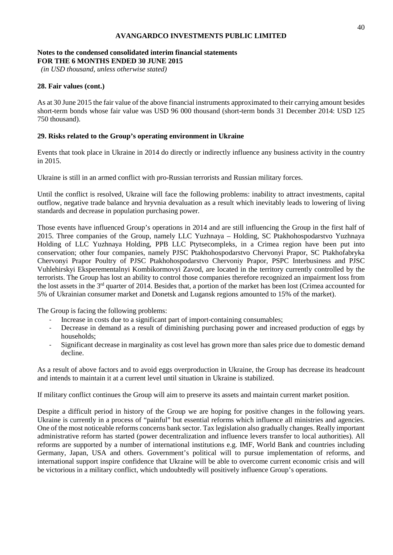#### **Notes to the condensed consolidated interim financial statements FOR THE 6 MONTHS ENDED 30 JUNE 2015**

*(in USD thousand, unless otherwise stated)*

#### **28. Fair values (cont.)**

As at 30 June 2015 the fair value of the above financial instruments approximated to their carrying amount besides short-term bonds whose fair value was USD 96 000 thousand (short-term bonds 31 December 2014: USD 125 750 thousand).

#### **29. Risks related to the Group's operating environment in Ukraine**

Events that took place in Ukraine in 2014 do directly or indirectly influence any business activity in the country in 2015.

Ukraine is still in an armed conflict with pro-Russian terrorists and Russian military forces.

Until the conflict is resolved, Ukraine will face the following problems: inability to attract investments, capital outflow, negative trade balance and hryvnia devaluation as a result which inevitably leads to lowering of living standards and decrease in population purchasing power.

Those events have influenced Group's operations in 2014 and are still influencing the Group in the first half of 2015. Three companies of the Group, namely LLC Yuzhnaya – Holding, SC Ptakhohospodarstvo Yuzhnaya Holding of LLC Yuzhnaya Holding, PPB LLC Ptytsecompleks, in a Crimea region have been put into conservation; other four companies, namely PJSC Ptakhohospodarstvo Chervonyi Prapor, SC Ptakhofabryka Chervonyi Prapor Poultry of PJSC Ptakhohospodarstvo Chervoniy Prapor, PSPC Interbusiness and PJSC Vuhlehirskyi Eksperementalnyi Kombikormovyi Zavod, are located in the territory currently controlled by the terrorists. The Group has lost an ability to control those companies therefore recognized an impairment loss from the lost assets in the 3rd quarter of 2014. Besides that, a portion of the market has been lost (Crimea accounted for 5% of Ukrainian consumer market and Donetsk and Lugansk regions amounted to 15% of the market).

The Group is facing the following problems:

- Increase in costs due to a significant part of import-containing consumables;
- Decrease in demand as a result of diminishing purchasing power and increased production of eggs by households;
- Significant decrease in marginality as cost level has grown more than sales price due to domestic demand decline.

As a result of above factors and to avoid eggs overproduction in Ukraine, the Group has decrease its headcount and intends to maintain it at a current level until situation in Ukraine is stabilized.

If military conflict continues the Group will aim to preserve its assets and maintain current market position.

Despite a difficult period in history of the Group we are hoping for positive changes in the following years. Ukraine is currently in a process of "painful" but essential reforms which influence all ministries and agencies. One of the most noticeable reforms concerns bank sector. Tax legislation also gradually changes. Really important administrative reform has started (power decentralization and influence levers transfer to local authorities). All reforms are supported by a number of international institutions e.g. IMF, World Bank and countries including Germany, Japan, USA and others. Government's political will to pursue implementation of reforms, and international support inspire confidence that Ukraine will be able to overcome current economic crisis and will be victorious in a military conflict, which undoubtedly will positively influence Group's operations.